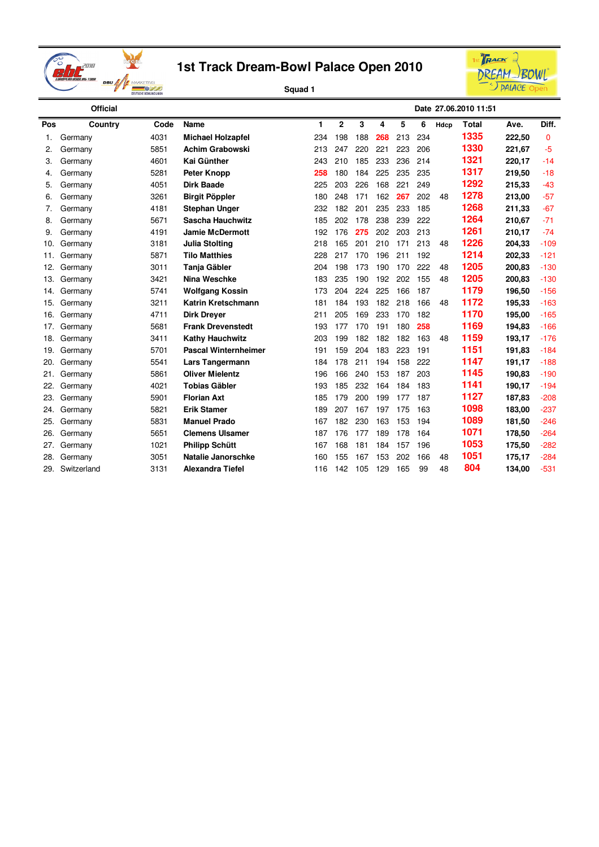



|     | <b>Official</b> |      |                             |     |                |     |     |     |     |      | Date 27.06.2010 11:51 |        |              |
|-----|-----------------|------|-----------------------------|-----|----------------|-----|-----|-----|-----|------|-----------------------|--------|--------------|
| Pos | Country         | Code | Name                        | 1   | $\overline{2}$ | 3   | 4   | 5   | 6   | Hdcp | <b>Total</b>          | Ave.   | Diff.        |
| 1.  | Germany         | 4031 | <b>Michael Holzapfel</b>    | 234 | 198            | 188 | 268 | 213 | 234 |      | 1335                  | 222.50 | $\mathbf{0}$ |
| 2.  | Germany         | 5851 | <b>Achim Grabowski</b>      | 213 | 247            | 220 | 221 | 223 | 206 |      | 1330                  | 221,67 | $-5$         |
| 3.  | Germany         | 4601 | Kai Günther                 | 243 | 210            | 185 | 233 | 236 | 214 |      | 1321                  | 220,17 | $-14$        |
| 4.  | Germany         | 5281 | <b>Peter Knopp</b>          | 258 | 180            | 184 | 225 | 235 | 235 |      | 1317                  | 219,50 | $-18$        |
| 5.  | Germany         | 4051 | <b>Dirk Baade</b>           | 225 | 203            | 226 | 168 | 221 | 249 |      | 1292                  | 215,33 | $-43$        |
| 6.  | Germany         | 3261 | <b>Birgit Pöppler</b>       | 180 | 248            | 171 | 162 | 267 | 202 | 48   | 1278                  | 213,00 | $-57$        |
| 7.  | Germany         | 4181 | <b>Stephan Unger</b>        | 232 | 182            | 201 | 235 | 233 | 185 |      | 1268                  | 211,33 | $-67$        |
| 8.  | Germany         | 5671 | Sascha Hauchwitz            | 185 | 202            | 178 | 238 | 239 | 222 |      | 1264                  | 210,67 | $-71$        |
| 9.  | Germany         | 4191 | <b>Jamie McDermott</b>      | 192 | 176            | 275 | 202 | 203 | 213 |      | 1261                  | 210,17 | $-74$        |
| 10. | Germany         | 3181 | <b>Julia Stolting</b>       | 218 | 165            | 201 | 210 | 171 | 213 | 48   | 1226                  | 204,33 | $-109$       |
| 11. | Germany         | 5871 | <b>Tilo Matthies</b>        | 228 | 217            | 170 | 196 | 211 | 192 |      | 1214                  | 202,33 | $-121$       |
| 12. | Germany         | 3011 | Tanja Gäbler                | 204 | 198            | 173 | 190 | 170 | 222 | 48   | 1205                  | 200,83 | $-130$       |
| 13. | Germany         | 3421 | <b>Nina Weschke</b>         | 183 | 235            | 190 | 192 | 202 | 155 | 48   | 1205                  | 200,83 | $-130$       |
| 14. | Germany         | 5741 | <b>Wolfgang Kossin</b>      | 173 | 204            | 224 | 225 | 166 | 187 |      | 1179                  | 196,50 | $-156$       |
| 15. | Germany         | 3211 | Katrin Kretschmann          | 181 | 184            | 193 | 182 | 218 | 166 | 48   | 1172                  | 195,33 | $-163$       |
| 16. | Germany         | 4711 | <b>Dirk Dreyer</b>          | 211 | 205            | 169 | 233 | 170 | 182 |      | 1170                  | 195,00 | $-165$       |
| 17. | Germany         | 5681 | <b>Frank Drevenstedt</b>    | 193 | 177            | 170 | 191 | 180 | 258 |      | 1169                  | 194,83 | $-166$       |
| 18. | Germany         | 3411 | <b>Kathy Hauchwitz</b>      | 203 | 199            | 182 | 182 | 182 | 163 | 48   | 1159                  | 193,17 | $-176$       |
| 19. | Germany         | 5701 | <b>Pascal Winternheimer</b> | 191 | 159            | 204 | 183 | 223 | 191 |      | 1151                  | 191,83 | $-184$       |
| 20. | Germany         | 5541 | Lars Tangermann             | 184 | 178            | 211 | 194 | 158 | 222 |      | 1147                  | 191,17 | $-188$       |
| 21. | Germany         | 5861 | <b>Oliver Mielentz</b>      | 196 | 166            | 240 | 153 | 187 | 203 |      | 1145                  | 190,83 | $-190$       |
| 22. | Germany         | 4021 | <b>Tobias Gäbler</b>        | 193 | 185            | 232 | 164 | 184 | 183 |      | 1141                  | 190,17 | $-194$       |
| 23. | Germany         | 5901 | <b>Florian Axt</b>          | 185 | 179            | 200 | 199 | 177 | 187 |      | 1127                  | 187,83 | $-208$       |
| 24. | Germany         | 5821 | <b>Erik Stamer</b>          | 189 | 207            | 167 | 197 | 175 | 163 |      | 1098                  | 183,00 | $-237$       |
| 25. | Germany         | 5831 | <b>Manuel Prado</b>         | 167 | 182            | 230 | 163 | 153 | 194 |      | 1089                  | 181,50 | $-246$       |
| 26. | Germany         | 5651 | <b>Clemens Ulsamer</b>      | 187 | 176            | 177 | 189 | 178 | 164 |      | 1071                  | 178,50 | $-264$       |
| 27. | Germany         | 1021 | <b>Philipp Schütt</b>       | 167 | 168            | 181 | 184 | 157 | 196 |      | 1053                  | 175,50 | $-282$       |
| 28. | Germany         | 3051 | Natalie Janorschke          | 160 | 155            | 167 | 153 | 202 | 166 | 48   | 1051                  | 175,17 | $-284$       |
| 29. | Switzerland     | 3131 | <b>Alexandra Tiefel</b>     | 116 | 142            | 105 | 129 | 165 | 99  | 48   | 804                   | 134,00 | $-531$       |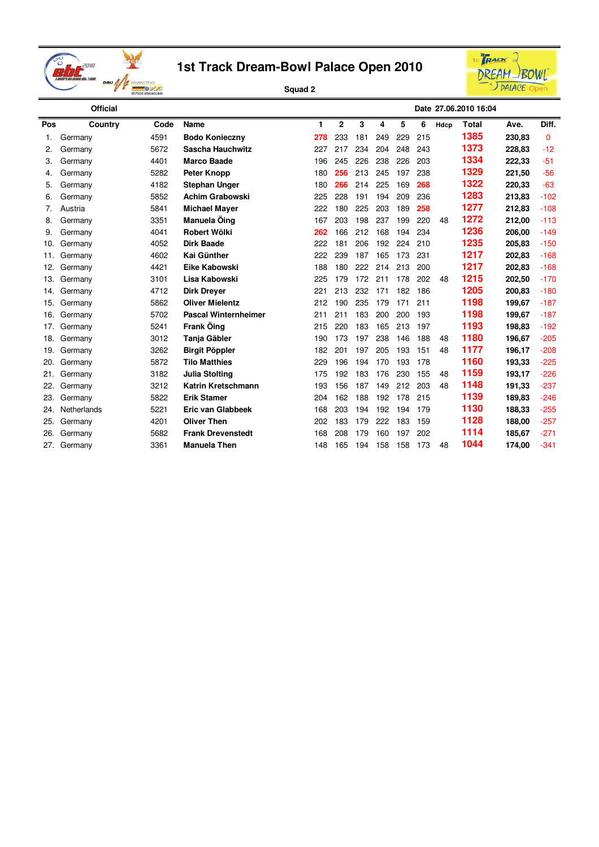



|     | <b>Official</b> |      |                             |     |                |     |     |     |     |      | Date 27.06.2010 16:04 |        |          |
|-----|-----------------|------|-----------------------------|-----|----------------|-----|-----|-----|-----|------|-----------------------|--------|----------|
| Pos | Country         | Code | Name                        | 1.  | $\overline{2}$ | 3   | 4   | 5   | 6   | Hdcp | Total                 | Ave.   | Diff.    |
| 1.  | Germany         | 4591 | <b>Bodo Konieczny</b>       | 278 | 233            | 181 | 249 | 229 | 215 |      | 1385                  | 230,83 | $\Omega$ |
| 2.  | Germany         | 5672 | <b>Sascha Hauchwitz</b>     | 227 | 217            | 234 | 204 | 248 | 243 |      | 1373                  | 228,83 | $-12$    |
| 3.  | Germany         | 4401 | <b>Marco Baade</b>          | 196 | 245            | 226 | 238 | 226 | 203 |      | 1334                  | 222,33 | $-51$    |
| 4.  | Germany         | 5282 | <b>Peter Knopp</b>          | 180 | 256            | 213 | 245 | 197 | 238 |      | 1329                  | 221,50 | $-56$    |
| 5.  | Germany         | 4182 | <b>Stephan Unger</b>        | 180 | 266            | 214 | 225 | 169 | 268 |      | 1322                  | 220,33 | $-63$    |
| 6.  | Germany         | 5852 | <b>Achim Grabowski</b>      | 225 | 228            | 191 | 194 | 209 | 236 |      | 1283                  | 213,83 | $-102$   |
| 7.  | Austria         | 5841 | <b>Michael Mayer</b>        | 222 | 180            | 225 | 203 | 189 | 258 |      | 1277                  | 212,83 | $-108$   |
| 8.  | Germany         | 3351 | Manuela Öing                | 167 | 203            | 198 | 237 | 199 | 220 | 48   | 1272                  | 212,00 | $-113$   |
| 9.  | Germany         | 4041 | Robert Wölki                | 262 | 166            | 212 | 168 | 194 | 234 |      | 1236                  | 206,00 | $-149$   |
| 10. | Germany         | 4052 | <b>Dirk Baade</b>           | 222 | 181            | 206 | 192 | 224 | 210 |      | 1235                  | 205,83 | $-150$   |
| 11. | Germany         | 4602 | <b>Kai Günther</b>          | 222 | 239            | 187 | 165 | 173 | 231 |      | 1217                  | 202,83 | $-168$   |
| 12. | Germany         | 4421 | Eike Kabowski               | 188 | 180            | 222 | 214 | 213 | 200 |      | 1217                  | 202,83 | $-168$   |
| 13. | Germany         | 3101 | Lisa Kabowski               | 225 | 179            | 172 | 211 | 178 | 202 | 48   | 1215                  | 202,50 | $-170$   |
| 14. | Germany         | 4712 | <b>Dirk Drever</b>          | 221 | 213            | 232 | 171 | 182 | 186 |      | 1205                  | 200,83 | $-180$   |
| 15. | Germany         | 5862 | <b>Oliver Mielentz</b>      | 212 | 190            | 235 | 179 | 171 | 211 |      | 1198                  | 199,67 | $-187$   |
| 16. | Germany         | 5702 | <b>Pascal Winternheimer</b> | 211 | 211            | 183 | 200 | 200 | 193 |      | 1198                  | 199,67 | $-187$   |
| 17. | Germany         | 5241 | Frank Öing                  | 215 | 220            | 183 | 165 | 213 | 197 |      | 1193                  | 198,83 | $-192$   |
| 18. | Germany         | 3012 | Tanja Gäbler                | 190 | 173            | 197 | 238 | 146 | 188 | 48   | 1180                  | 196,67 | $-205$   |
| 19. | Germany         | 3262 | <b>Birgit Pöppler</b>       | 182 | 201            | 197 | 205 | 193 | 151 | 48   | 1177                  | 196,17 | $-208$   |
| 20. | Germany         | 5872 | <b>Tilo Matthies</b>        | 229 | 196            | 194 | 170 | 193 | 178 |      | 1160                  | 193,33 | $-225$   |
| 21. | Germany         | 3182 | Julia Stolting              | 175 | 192            | 183 | 176 | 230 | 155 | 48   | 1159                  | 193,17 | $-226$   |
| 22. | Germany         | 3212 | Katrin Kretschmann          | 193 | 156            | 187 | 149 | 212 | 203 | 48   | 1148                  | 191,33 | $-237$   |
| 23. | Germany         | 5822 | <b>Erik Stamer</b>          | 204 | 162            | 188 | 192 | 178 | 215 |      | 1139                  | 189,83 | $-246$   |
| 24. | Netherlands     | 5221 | <b>Eric van Glabbeek</b>    | 168 | 203            | 194 | 192 | 194 | 179 |      | 1130                  | 188,33 | $-255$   |
| 25. | Germany         | 4201 | <b>Oliver Then</b>          | 202 | 183            | 179 | 222 | 183 | 159 |      | 1128                  | 188,00 | $-257$   |
| 26. | Germany         | 5682 | <b>Frank Drevenstedt</b>    | 168 | 208            | 179 | 160 | 197 | 202 |      | 1114                  | 185,67 | $-271$   |
| 27. | Germany         | 3361 | <b>Manuela Then</b>         | 148 | 165            | 194 | 158 | 158 | 173 | 48   | 1044                  | 174,00 | $-341$   |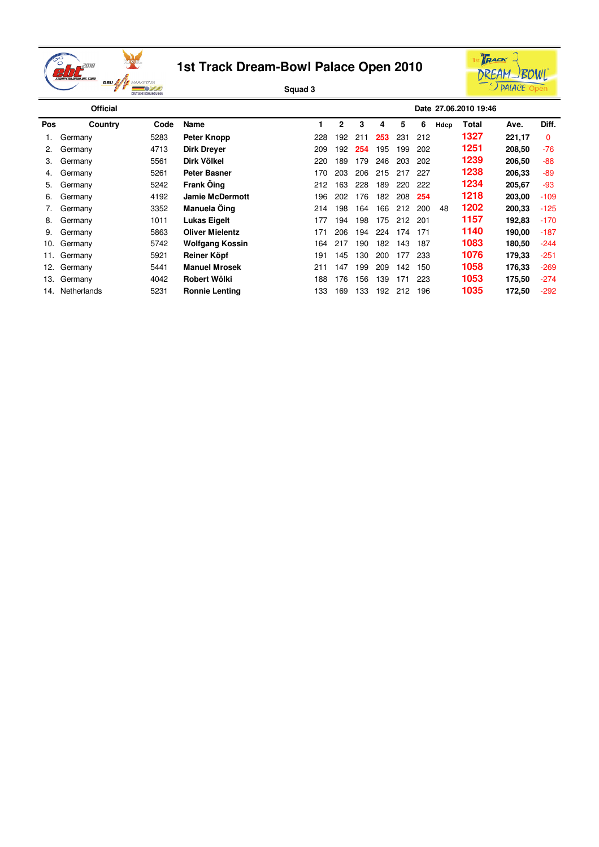



|     | <b>Official</b> |      |                        |     |              |     |     |     |     |      | Date 27.06.2010 19:46 |        |        |
|-----|-----------------|------|------------------------|-----|--------------|-----|-----|-----|-----|------|-----------------------|--------|--------|
| Pos | Country         | Code | Name                   |     | $\mathbf{2}$ | 3   | 4   | 5   | 6   | Hdcp | Total                 | Ave.   | Diff.  |
|     | Germany         | 5283 | Peter Knopp            | 228 | 192          | 211 | 253 | 231 | 212 |      | 1327                  | 221,17 | 0      |
| 2.  | Germany         | 4713 | <b>Dirk Dreyer</b>     | 209 | 192          | 254 | 195 | 199 | 202 |      | 1251                  | 208,50 | $-76$  |
| 3.  | Germany         | 5561 | Dirk Völkel            | 220 | 189          | 179 | 246 | 203 | 202 |      | 1239                  | 206,50 | $-88$  |
| 4.  | Germany         | 5261 | <b>Peter Basner</b>    | 170 | 203          | 206 | 215 | 217 | 227 |      | 1238                  | 206,33 | $-89$  |
| 5.  | Germany         | 5242 | <b>Frank Öing</b>      | 212 | 163          | 228 | 189 | 220 | 222 |      | 1234                  | 205,67 | -93    |
| 6.  | Germany         | 4192 | <b>Jamie McDermott</b> | 196 | 202          | 176 | 182 | 208 | 254 |      | 1218                  | 203,00 | $-109$ |
|     | Germany         | 3352 | <b>Manuela Oing</b>    | 214 | 198          | 164 | 166 | 212 | 200 | 48   | 1202                  | 200,33 | $-125$ |
| 8.  | Germany         | 1011 | <b>Lukas Eigelt</b>    | 177 | 194          | 198 | 175 | 212 | 201 |      | 1157                  | 192,83 | $-170$ |
| 9.  | Germany         | 5863 | <b>Oliver Mielentz</b> | 171 | 206          | 194 | 224 | 174 | 171 |      | 1140                  | 190,00 | $-187$ |
| 10. | Germany         | 5742 | Wolfgang Kossin        | 164 | 217          | 190 | 182 | 143 | 187 |      | 1083                  | 180,50 | $-244$ |
| 11. | Germany         | 5921 | Reiner Köpf            | 191 | 145          | 130 | 200 | 177 | 233 |      | 1076                  | 179,33 | $-251$ |
| 12. | Germany         | 5441 | <b>Manuel Mrosek</b>   | 211 | 147          | 199 | 209 | 142 | 150 |      | 1058                  | 176,33 | $-269$ |
| 13. | Germany         | 4042 | Robert Wölki           | 188 | 176          | 156 | 139 | 171 | 223 |      | 1053                  | 175,50 | $-274$ |
| 14. | Netherlands     | 5231 | <b>Ronnie Lenting</b>  | 133 | 169          | 133 | 192 | 212 | 196 |      | 1035                  | 172,50 | $-292$ |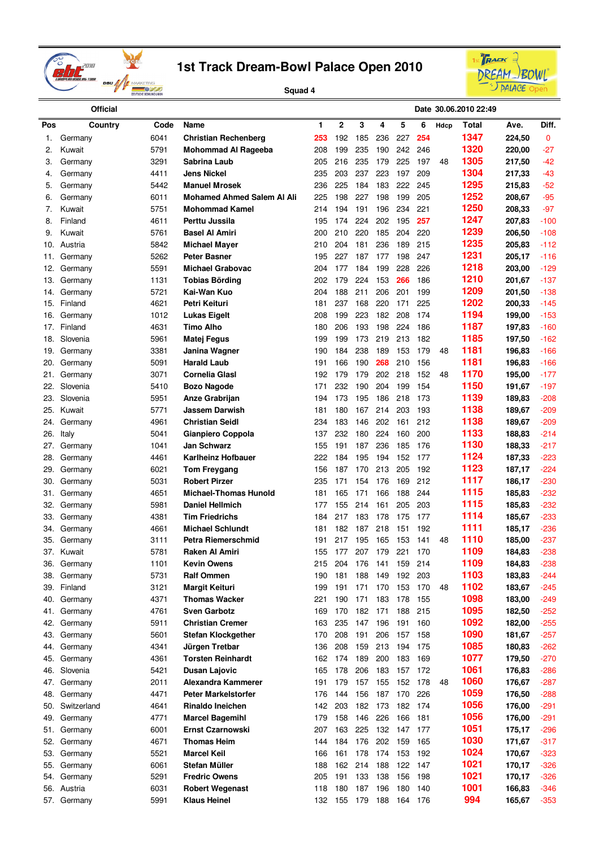



|            | <b>Official</b>        |              |                                     |            |            |            |            |            |     |      | Date 30.06.2010 22:49 |                  |                  |
|------------|------------------------|--------------|-------------------------------------|------------|------------|------------|------------|------------|-----|------|-----------------------|------------------|------------------|
| Pos        | Country                | Code         | Name                                | 1          | 2          | 3          | 4          | 5          | 6   | Hdcp | Total                 | Ave.             | Diff.            |
| 1.         | Germany                | 6041         | <b>Christian Rechenberg</b>         | 253        | 192        | 185        | 236        | 227        | 254 |      | 1347                  | 224,50           | 0                |
| 2.         | Kuwait                 | 5791         | <b>Mohommad Al Rageeba</b>          | 208        | 199        | 235        | 190        | 242        | 246 |      | 1320                  | 220,00           | -27              |
| 3.         | Germany                | 3291         | Sabrina Laub                        | 205        | 216        | 235        | 179        | 225        | 197 | 48   | 1305                  | 217,50           | -42              |
| 4.         | Germany                | 4411         | Jens Nickel                         | 235        | 203        | 237        | 223        | 197        | 209 |      | 1304                  | 217,33           | -43              |
| 5.         | Germany                | 5442         | <b>Manuel Mrosek</b>                | 236        | 225        | 184        | 183        | 222        | 245 |      | 1295                  | 215,83           | -52              |
| 6.         | Germany                | 6011         | <b>Mohamed Ahmed Salem AI Ali</b>   | 225        | 198        | 227        | 198        | 199        | 205 |      | 1252                  | 208,67           | $-95$            |
| 7.         | Kuwait                 | 5751         | <b>Mohommad Kamel</b>               | 214        | 194        | 191        | 196        | 234        | 221 |      | 1250                  | 208,33           | -97              |
| 8.         | Finland                | 4611         | Perttu Jussila                      | 195        | 174        | 224        | 202        | 195        | 257 |      | 1247                  | 207,83           | $-100$           |
| 9.         | Kuwait                 | 5761         | <b>Basel Al Amiri</b>               | 200        | 210        | 220        | 185        | 204        | 220 |      | 1239                  | 206,50           | $-108$           |
| 10.        | Austria                | 5842         | Michael Mayer                       | 210        | 204        | 181        | 236        | 189        | 215 |      | 1235                  | 205,83           | $-112$           |
| 11.        | Germany                | 5262         | Peter Basner                        | 195        | 227        | 187        | 177        | 198        | 247 |      | 1231                  | 205,17           | $-116$           |
| 12.        | Germany                | 5591         | <b>Michael Grabovac</b>             | 204        | 177        | 184        | 199        | 228        | 226 |      | 1218                  | 203,00           | $-129$           |
| 13.        | Germany                | 1131         | Tobias Börding                      | 202        | 179        | 224        | 153        | 266        | 186 |      | 1210                  | 201,67           | $-137$           |
| 14.        | Germany                | 5721         | Kai-Wan Kuo                         | 204        | 188        | 211        | 206        | 201        | 199 |      | 1209                  | 201,50           | $-138$           |
| 15.        | Finland                | 4621         | Petri Keituri                       | 181        | 237        | 168        | 220        | 171        | 225 |      | 1202                  | 200,33           | $-145$           |
| 16.        | Germany                | 1012         | <b>Lukas Eigelt</b>                 | 208        | 199        | 223        | 182        | 208        | 174 |      | 1194                  | 199,00           | $-153$           |
| 17.        | Finland                | 4631         | <b>Timo Alho</b>                    | 180        | 206        | 193        | 198        | 224        | 186 |      | 1187                  | 197,83           | $-160$           |
|            | Slovenia               | 5961         |                                     | 199        | 199        | 173        | 219        | 213        | 182 |      | 1185                  |                  | $-162$           |
| 18.        |                        | 3381         | Matej Fegus                         | 190        | 184        | 238        | 189        | 153        | 179 | 48   | 1181                  | 197,50<br>196,83 | $-166$           |
| 19.        | Germany                | 5091         | Janina Wagner<br><b>Harald Laub</b> | 191        | 166        | 190        | 268        | 210        | 156 |      | 1181                  | 196,83           | $-166$           |
| 20.        | Germany                | 3071         | Cornelia Glasl                      | 192        | 179        | 179        | 202        | 218        | 152 | 48   | 1170                  |                  | $-177$           |
| 21.        | Germany<br>Slovenia    |              |                                     |            | 232        |            | 204        |            | 154 |      | 1150                  | 195,00           |                  |
| 22.        | Slovenia               | 5410         | Bozo Nagode                         | 171        |            | 190        |            | 199        | 173 |      | 1139                  | 191,67           | $-197$           |
| 23.<br>25. | Kuwait                 | 5951<br>5771 | Anze Grabrijan<br>Jassem Darwish    | 194<br>181 | 173<br>180 | 195<br>167 | 186<br>214 | 218<br>203 | 193 |      | 1138                  | 189,83<br>189,67 | $-208$<br>$-209$ |
|            |                        | 4961         | <b>Christian Seidl</b>              | 234        | 183        | 146        | 202        |            | 212 |      | 1138                  | 189,67           | $-209$           |
| 24.        | Germany                | 5041         |                                     | 137        | 232        | 180        | 224        | 161<br>160 | 200 |      | 1133                  | 188,83           | $-214$           |
| 26.        | Italy                  |              | Gianpiero Coppola<br>Jan Schwarz    | 155        | 191        | 187        | 236        |            | 176 |      | 1130                  |                  | $-217$           |
| 27.        | Germany                | 1041<br>4461 | <b>Karlheinz Hofbauer</b>           | 222        | 184        | 195        | 194        | 185<br>152 | 177 |      | 1124                  | 188,33<br>187,33 | $-223$           |
| 28.<br>29. | Germany                | 6021         | Tom Freygang                        | 156        | 187        | 170        | 213        | 205        | 192 |      | 1123                  | 187,17           | $-224$           |
|            | Germany                | 5031         | <b>Robert Pirzer</b>                | 235        | 171        | 154        | 176        | 169        | 212 |      | 1117                  |                  | $-230$           |
| 30.        | Germany                | 4651         | <b>Michael-Thomas Hunold</b>        | 181        | 165        | 171        | 166        | 188        | 244 |      | 1115                  | 186,17<br>185,83 | $-232$           |
| 31.<br>32. | Germany                | 5981         | <b>Daniel Hellmich</b>              | 177        | 155        | 214        | 161        | 205        | 203 |      | 1115                  | 185,83           | $-232$           |
| 33.        | Germany<br>Germany     | 4381         | Tim Friedrichs                      | 184        | 217        | 183        | 178        | 175        | 177 |      | 1114                  | 185,67           | $-233$           |
| 34.        | Germany                | 4661         | <b>Michael Schlundt</b>             | 181        | 182        | 187        | 218        | 151        | 192 |      | 1111                  | 185,17           | $-236$           |
| 35.        | Germany                | 3111         | Petra Riemerschmid                  | 191        | 217        | 195        | 165        | 153        | 141 | 48   | 1110                  | 185,00           | -237             |
| 37.        | Kuwait                 | 5781         | Raken Al Amiri                      | 155        | 177        | 207        | 179        | 221        | 170 |      | 1109                  | 184,83           | $-238$           |
| 36.        | Germany                | 1101         | <b>Kevin Owens</b>                  | 215        | 204        | 176        | 141        | 159        | 214 |      | 1109                  | 184,83           | $-238$           |
| 38.        | Germany                | 5731         | <b>Ralf Ommen</b>                   | 190        | 181        | 188        | 149        | 192        | 203 |      | 1103                  | 183,83           | $-244$           |
| 39.        | Finland                | 3121         | Margit Keituri                      | 199        | 191        | 171        | 170        | 153        | 170 | 48   | 1102                  | 183,67           | $-245$           |
| 40.        | Germany                | 4371         | <b>Thomas Wacker</b>                | 221        | 190        | 171        | 183        | 178        | 155 |      | 1098                  | 183,00           | $-249$           |
| 41.        | Germany                | 4761         | <b>Sven Garbotz</b>                 | 169        | 170        | 182        | 171        | 188        | 215 |      | 1095                  | 182,50           | $-252$           |
| 42.        | Germany                | 5911         | <b>Christian Cremer</b>             | 163        | 235        | 147        | 196        | 191        | 160 |      | 1092                  | 182,00           | $-255$           |
| 43.        | Germany                | 5601         | <b>Stefan Klockgether</b>           | 170        | 208        | 191        | 206        | 157        | 158 |      | 1090                  | 181,67           | $-257$           |
| 44.        | Germany                | 4341         | Jürgen Tretbar                      | 136        | 208        | 159        | 213        | 194        | 175 |      | 1085                  | 180,83           | $-262$           |
| 45.        | Germany                | 4361         | <b>Torsten Reinhardt</b>            | 162        | 174        | 189        | 200        | 183        | 169 |      | 1077                  | 179,50           | $-270$           |
| 46.        | Slovenia               | 5421         | <b>Dusan Lajovic</b>                | 165        | 178        | 206        | 183        | 157        | 172 |      | 1061                  | 176,83           | $-286$           |
| 47.        | Germany                | 2011         | Alexandra Kammerer                  | 191        | 179        | 157        | 155        | 152        | 178 | 48   | 1060                  | 176,67           | $-287$           |
|            |                        | 4471         | <b>Peter Markelstorfer</b>          |            | 144        | 156        | 187        | 170        | 226 |      | 1059                  |                  | $-288$           |
| 48.        | Germany<br>Switzerland | 4641         | Rinaldo Ineichen                    | 176<br>142 | 203        | 182        | 173        | 182        | 174 |      | 1056                  | 176,50<br>176,00 | $-291$           |
| 50.<br>49. | Germany                | 4771         | <b>Marcel Bagemihl</b>              | 179        | 158        | 146        | 226        | 166        | 181 |      | 1056                  | 176,00           | $-291$           |
| 51.        | Germany                | 6001         | Ernst Czarnowski                    | 207        | 163        | 225        | 132        | 147        | 177 |      | 1051                  | 175,17           | $-296$           |
|            |                        |              | <b>Thomas Heim</b>                  |            | 184        |            |            |            |     |      | 1030                  |                  |                  |
| 52.        | Germany                | 4671         |                                     | 144        |            | 176        | 202        | 159        | 165 |      | 1024                  | 171,67           | $-317$           |
| 53.        | Germany                | 5521         | <b>Marcel Keil</b>                  | 166        | 161        | 178        | 174        | 153        | 192 |      | 1021                  | 170,67           | $-323$           |
| 55.        | Germany                | 6061         | Stefan Müller                       | 188        | 162        | 214        | 188        | 122        | 147 |      | 1021                  | 170,17           | $-326$           |
| 54.        | Germany                | 5291         | <b>Fredric Owens</b>                | 205        | 191        | 133        | 138        | 156        | 198 |      | 1001                  | 170,17           | $-326$           |
| 56.        | Austria                | 6031         | <b>Robert Wegenast</b>              | 118        | 180        | 187        | 196        | 180        | 140 |      | 994                   | 166,83           | $-346$           |
| 57.        | Germany                | 5991         | <b>Klaus Heinel</b>                 | 132        | 155        | 179        | 188        | 164 176    |     |      |                       | 165,67           | $-353$           |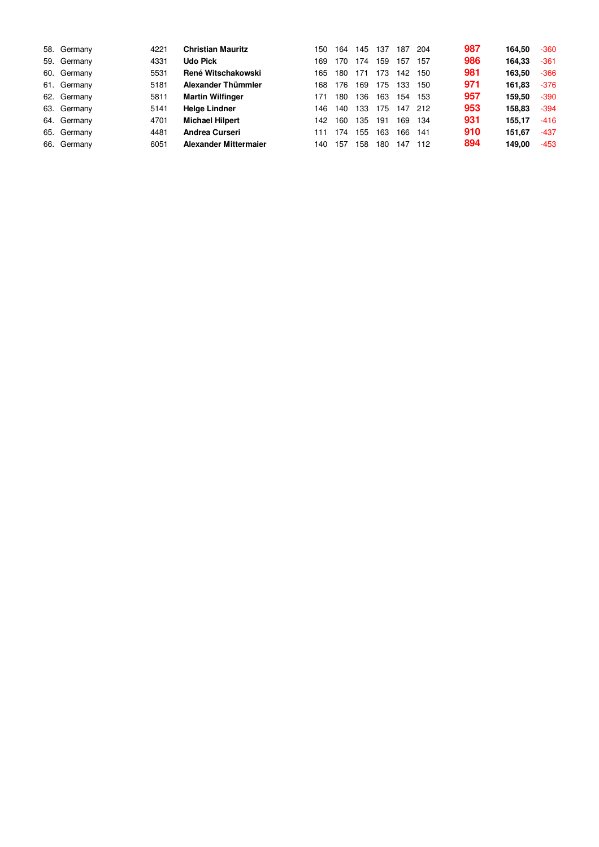| 58. Germany | 4221 | <b>Christian Mauritz</b>     | 150 | 164 | 145 | 137 | 187 | 204 | 987 | 164.50 | $-360$ |
|-------------|------|------------------------------|-----|-----|-----|-----|-----|-----|-----|--------|--------|
| 59. Germany | 4331 | <b>Udo Pick</b>              | 169 | 170 | 174 | 159 | 157 | 157 | 986 | 164.33 | $-361$ |
| 60. Germany | 5531 | René Witschakowski           | 165 | 180 | 171 | 173 | 142 | 150 | 981 | 163.50 | $-366$ |
| 61. Germany | 5181 | Alexander Thümmler           | 168 | 176 | 169 | 175 | 133 | 150 | 971 | 161.83 | $-376$ |
| 62. Germany | 5811 | <b>Martin Wilfinger</b>      | 171 | 180 | 136 | 163 | 154 | 153 | 957 | 159.50 | $-390$ |
| 63. Germany | 5141 | <b>Helge Lindner</b>         | 146 | 140 | 133 | 175 | 147 | 212 | 953 | 158.83 | $-394$ |
| 64. Germany | 4701 | <b>Michael Hilpert</b>       | 142 | 160 | 135 | 191 | 169 | 134 | 931 | 155.17 | $-416$ |
| 65. Germany | 4481 | <b>Andrea Curseri</b>        | 111 | 174 | 155 | 163 | 166 | 141 | 910 | 151.67 | $-437$ |
| 66. Germany | 6051 | <b>Alexander Mittermajer</b> | 140 | 157 | 158 | 180 | 147 | 112 | 894 | 149.00 | $-453$ |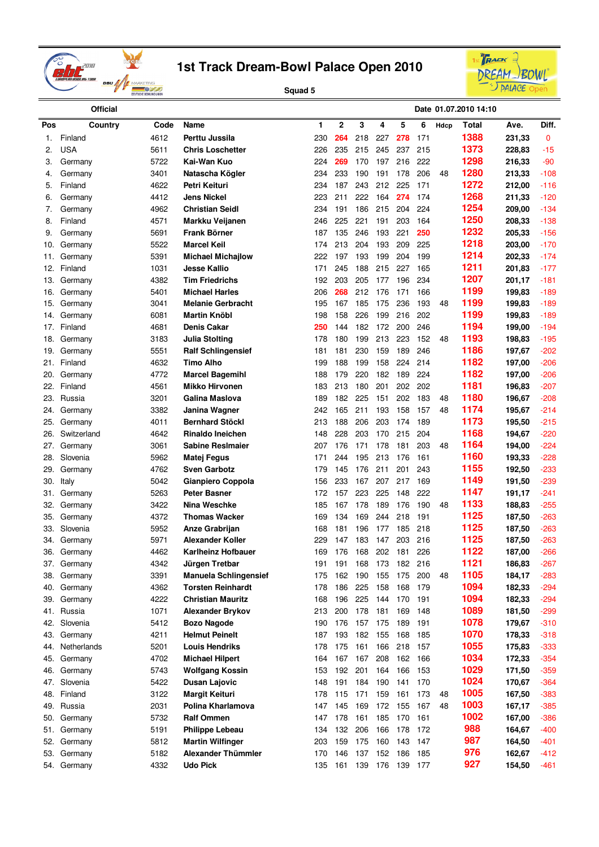



|            | <b>Official</b>     |              |                                           |            |            |                     |            |            |            |      | Date 01.07.2010 14:10 |                  |                |
|------------|---------------------|--------------|-------------------------------------------|------------|------------|---------------------|------------|------------|------------|------|-----------------------|------------------|----------------|
| Pos        | Country             | Code         | Name                                      | 1          | 2          | 3                   | 4          | 5          | 6          | Hdcp | Total                 | Ave.             | Diff.          |
| 1.         | Finland             | 4612         | Perttu Jussila                            | 230        | 264        | 218                 | 227        | 278        | 171        |      | 1388                  | 231,33           | 0              |
| 2.         | <b>USA</b>          | 5611         | <b>Chris Loschetter</b>                   | 226        | 235        | 215                 | 245        | 237        | 215        |      | 1373                  | 228,83           | $-15$          |
| 3.         | Germany             | 5722         | Kai-Wan Kuo                               | 224        | 269        | 170                 | 197        | 216        | 222        |      | 1298                  | 216,33           | $-90$          |
| 4.         | Germany             | 3401         | Natascha Kögler                           | 234        | 233        | 190                 | 191        | 178        | 206        | 48   | 1280                  | 213,33           | $-108$         |
| 5.         | Finland             | 4622         | Petri Keituri                             | 234        | 187        | 243                 | 212        | 225        | 171        |      | 1272                  | 212,00           | $-116$         |
| 6.         | Germany             | 4412         | <b>Jens Nickel</b>                        | 223        | 211        | 222                 | 164        | 274        | 174        |      | 1268                  | 211,33           | $-120$         |
| 7.         | Germany             | 4962         | <b>Christian Seidl</b>                    | 234        | 191        | 186                 | 215        | 204        | 224        |      | 1254                  | 209,00           | $-134$         |
| 8.         | Finland             | 4571         | Markku Veijanen                           | 246        | 225        | 221                 | 191        | 203        | 164        |      | 1250                  | 208,33           | $-138$         |
| 9.         | Germany             | 5691         | <b>Frank Börner</b>                       | 187        | 135        | 246                 | 193        | 221        | 250        |      | 1232                  | 205,33           | $-156$         |
| 10.        | Germany             | 5522         | <b>Marcel Keil</b>                        | 174        | 213        | 204                 | 193        | 209        | 225        |      | 1218                  | 203,00           | $-170$         |
| 11.        | Germany             | 5391         | <b>Michael Michajlow</b>                  | 222        | 197        | 193                 | 199        | 204        | 199        |      | 1214                  | 202,33           | $-174$         |
| 12.        | Finland             | 1031         | <b>Jesse Kallio</b>                       | 171        | 245        | 188                 | 215        | 227        | 165        |      | 1211                  | 201,83           | $-177$         |
| 13.        | Germany             | 4382         | <b>Tim Friedrichs</b>                     | 192        | 203        | 205                 | 177        | 196        | 234        |      | 1207                  | 201,17           | $-181$         |
| 16.        | Germany             | 5401         | <b>Michael Harles</b>                     | 206        | 268        | 212                 | 176        | 171        | 166        |      | 1199                  | 199,83           | $-189$         |
| 15.        | Germany             | 3041         | <b>Melanie Gerbracht</b>                  | 195        | 167        | 185                 | 175        | 236        | 193        | 48   | 1199                  | 199,83           | $-189$         |
| 14.        | Germany             | 6081         | <b>Martin Knöbl</b>                       | 198        | 158        | 226                 | 199        | 216        | 202        |      | 1199                  | 199,83           | $-189$         |
| 17.        | Finland             | 4681         | Denis Cakar                               | 250        | 144        | 182                 | 172        | 200        | 246        |      | 1194                  | 199,00           | $-194$         |
| 18.        | Germany             | 3183         | <b>Julia Stolting</b>                     | 178        | 180        | 199                 | 213        | 223        | 152        | 48   | 1193                  | 198,83           | $-195$         |
| 19.        | Germany             | 5551         | <b>Ralf Schlingensief</b>                 | 181        | 181        | 230                 | 159        | 189        | 246        |      | 1186                  | 197,67           | $-202$         |
| 21.        | Finland             | 4632         | <b>Timo Alho</b>                          | 199        | 188        | 199                 | 158        | 224        | 214        |      | 1182                  | 197,00           | $-206$         |
| 20.        | Germany             | 4772         | <b>Marcel Bagemihl</b>                    | 188        | 179        | 220                 | 182        | 189        | 224        |      | 1182                  | 197,00           | $-206$         |
| 22.        | Finland             | 4561         | <b>Mikko Hirvonen</b>                     | 183        | 213        | 180                 | 201        | 202        | 202        |      | 1181                  | 196,83           | $-207$         |
| 23.        | Russia              | 3201         | Galina Maslova                            | 189        | 182        | 225                 | 151        | 202        | 183        | 48   | 1180                  | 196,67           | $-208$         |
| 24.        | Germany             | 3382         | Janina Wagner                             | 242        | 165        | 211                 | 193        | 158        | 157        | 48   | 1174                  | 195,67           | $-214$         |
| 25.        | Germany             | 4011         | <b>Bernhard Stöckl</b>                    | 213        | 188        | 206                 | 203        | 174        | 189        |      | 1173                  | 195,50           | $-215$         |
| 26.        | Switzerland         | 4642         | <b>Rinaldo Ineichen</b>                   | 148        | 228        | 203                 | 170        | 215        | 204        |      | 1168                  | 194,67           | $-220$         |
| 27.        | Germany             | 3061         | <b>Sabine Resimaier</b>                   | 207        | 176        | 171                 | 178        | 181        | 203        | 48   | 1164                  | 194,00           | $-224$         |
| 28.        | Slovenia            | 5962         | Matej Fegus                               | 171        | 244        | 195                 | 213        | 176        | 161        |      | 1160                  | 193,33           | $-228$         |
| 29.        | Germany             | 4762         | <b>Sven Garbotz</b>                       | 179        | 145        | 176                 | 211        | 201        | 243        |      | 1155                  | 192,50           | $-233$         |
| 30.        | Italy               | 5042         | Gianpiero Coppola                         | 156        | 233        | 167                 | 207        | 217        | 169        |      | 1149<br>1147          | 191,50           | $-239$         |
| 31.        | Germany             | 5263         | <b>Peter Basner</b>                       | 172        | 157        | 223                 | 225        | 148        | 222        |      | 1133                  | 191,17           | $-241$         |
| 32.        | Germany             | 3422<br>4372 | Nina Weschke                              | 185        | 167        | 178                 | 189        | 176        | 190        | 48   | 1125                  | 188,83           | $-255$         |
| 35.        | Germany<br>Slovenia | 5952         | <b>Thomas Wacker</b>                      | 169        | 134        | 169                 | 244        | 218        | 191<br>218 |      | 1125                  | 187,50           | $-263$         |
| 33.<br>34. | Germany             | 5971         | Anze Grabrijan<br><b>Alexander Koller</b> | 168<br>229 | 181<br>147 | 196<br>183          | 177<br>147 | 185<br>203 | 216        |      | 1125                  | 187,50<br>187,50 | -263<br>$-263$ |
| 36.        | Germany             | 4462         | <b>Karlheinz Hofbauer</b>                 | 169        | 176        | 168                 | 202        | 181        | 226        |      | 1122                  | 187,00           | $-266$         |
| 37.        | Germany             | 4342         | Jürgen Tretbar                            | 191        | 191        | 168                 | 173        | 182        | 216        |      | 1121                  | 186,83           | $-267$         |
| 38.        | Germany             | 3391         | <b>Manuela Schlingensief</b>              | 175        | 162        | 190                 | 155        | 175        | 200        | 48   | 1105                  | 184,17           | $-283$         |
| 40.        | Germany             | 4362         | <b>Torsten Reinhardt</b>                  | 178        | 186        | 225                 | 158        | 168        | 179        |      | 1094                  | 182,33           | $-294$         |
| 39.        | Germany             | 4222         | <b>Christian Mauritz</b>                  | 168        | 196        | 225                 | 144        | 170        | 191        |      | 1094                  | 182,33           | $-294$         |
| 41.        | Russia              | 1071         | <b>Alexander Brykov</b>                   | 213        | 200        | 178                 | 181        | 169        | 148        |      | 1089                  | 181,50           | $-299$         |
| 42.        | Slovenia            | 5412         | <b>Bozo Nagode</b>                        | 190        | 176        | 157                 | 175        | 189        | 191        |      | 1078                  | 179,67           | $-310$         |
| 43.        | Germany             | 4211         | <b>Helmut Peinelt</b>                     | 187        | 193        | 182                 | 155        | 168        | 185        |      | 1070                  | 178,33           | $-318$         |
| 44.        | Netherlands         | 5201         | <b>Louis Hendriks</b>                     | 178        | 175        | 161                 | 166        | 218        | 157        |      | 1055                  | 175,83           | $-333$         |
| 45.        | Germany             | 4702         | <b>Michael Hilpert</b>                    | 164        | 167        | 167                 | 208        | 162        | 166        |      | 1034                  | 172,33           | $-354$         |
| 46.        | Germany             | 5743         | <b>Wolfgang Kossin</b>                    | 153        | 192        | 201                 | 164        | 166        | 153        |      | 1029                  | 171,50           | $-359$         |
| 47.        | Slovenia            | 5422         | <b>Dusan Lajovic</b>                      | 148        | 191        | 184                 | 190        | 141        | 170        |      | 1024                  | 170,67           | $-364$         |
| 48.        | Finland             | 3122         | <b>Margit Keituri</b>                     | 178        | 115        | 171                 | 159        | 161        | 173        | 48   | 1005                  | 167,50           | $-383$         |
| 49.        | Russia              | 2031         | Polina Kharlamova                         | 147        | 145        | 169                 | 172        | 155        | 167        | 48   | 1003                  | 167,17           | $-385$         |
| 50.        | Germany             | 5732         | <b>Ralf Ommen</b>                         | 147        | 178        | 161                 | 185        | 170        | 161        |      | 1002                  | 167,00           | $-386$         |
| 51.        | Germany             | 5191         | <b>Philippe Lebeau</b>                    | 134        | 132        | 206                 | 166        | 178        | 172        |      | 988                   | 164,67           | $-400$         |
| 52.        | Germany             | 5812         | <b>Martin Wilfinger</b>                   | 203        | 159        | 175                 | 160        | 143        | 147        |      | 987                   | 164,50           | $-401$         |
| 53.        | Germany             | 5182         | Alexander Thümmler                        | 170        | 146        | 137                 | 152 186    |            | 185        |      | 976                   | 162,67           | $-412$         |
|            | 54. Germany         | 4332         | <b>Udo Pick</b>                           | 135        |            | 161 139 176 139 177 |            |            |            |      | 927                   | 154,50           | $-461$         |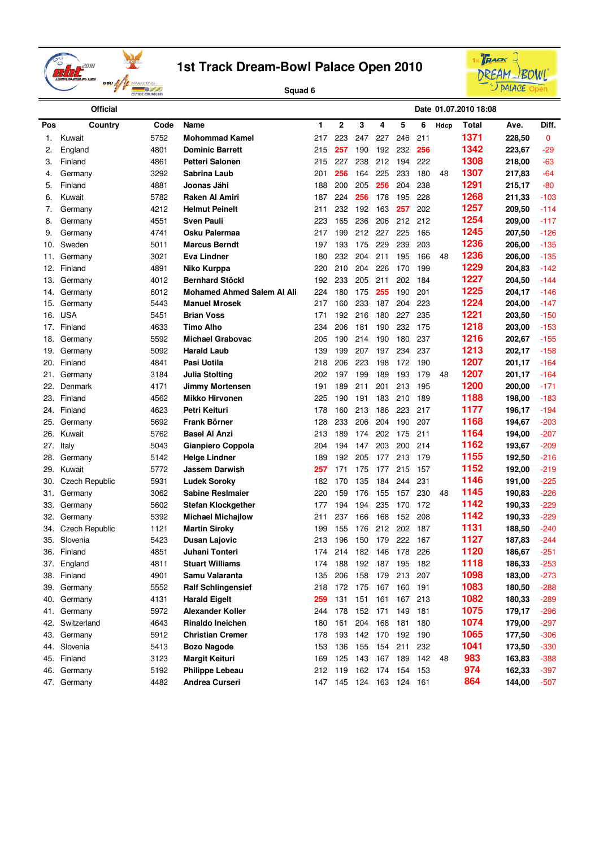



|     | <b>Official</b>       |      |                                   |     |                         |         |             |     |     |      | Date 01.07.2010 18:08 |        |        |
|-----|-----------------------|------|-----------------------------------|-----|-------------------------|---------|-------------|-----|-----|------|-----------------------|--------|--------|
| Pos | Country               | Code | Name                              | 1   | $\mathbf 2$             | 3       | 4           | 5   | 6   | Hdcp | <b>Total</b>          | Ave.   | Diff.  |
| 1.  | Kuwait                | 5752 | <b>Mohommad Kamel</b>             | 217 | 223                     | 247     | 227         | 246 | 211 |      | 1371                  | 228,50 | 0      |
| 2.  | England               | 4801 | <b>Dominic Barrett</b>            | 215 | 257                     | 190     | 192         | 232 | 256 |      | 1342                  | 223,67 | $-29$  |
| 3.  | Finland               | 4861 | <b>Petteri Salonen</b>            | 215 | 227                     | 238     | 212         | 194 | 222 |      | 1308                  | 218,00 | -63    |
| 4.  | Germany               | 3292 | Sabrina Laub                      | 201 | 256                     | 164     | 225         | 233 | 180 | 48   | 1307                  | 217,83 | -64    |
| 5.  | Finland               | 4881 | Joonas Jähi                       | 188 | 200                     | 205     | 256         | 204 | 238 |      | 1291                  | 215,17 | -80    |
| 6.  | Kuwait                | 5782 | Raken Al Amiri                    | 187 | 224                     | 256     | 178         | 195 | 228 |      | 1268                  | 211,33 | -103   |
| 7.  | Germany               | 4212 | <b>Helmut Peinelt</b>             | 211 | 232                     | 192     | 163         | 257 | 202 |      | 1257                  | 209,50 | $-114$ |
| 8.  | Germany               | 4551 | <b>Sven Pauli</b>                 | 223 | 165                     | 236     | 206         | 212 | 212 |      | 1254                  | 209,00 | -117   |
| 9.  | Germany               | 4741 | Osku Palermaa                     | 217 | 199                     | 212     | 227         | 225 | 165 |      | 1245                  | 207,50 | $-126$ |
| 10. | Sweden                | 5011 | <b>Marcus Berndt</b>              | 197 | 193                     | 175     | 229         | 239 | 203 |      | 1236                  | 206,00 | $-135$ |
| 11. | Germany               | 3021 | Eva Lindner                       | 180 | 232                     | 204     | 211         | 195 | 166 | 48   | 1236                  | 206,00 | -135   |
| 12. | Finland               | 4891 | Niko Kurppa                       | 220 | 210                     | 204     | 226         | 170 | 199 |      | 1229                  | 204,83 | -142   |
| 13. | Germany               | 4012 | <b>Bernhard Stöckl</b>            | 192 | 233                     | 205     | 211         | 202 | 184 |      | 1227                  | 204,50 | $-144$ |
| 14. | Germany               | 6012 | <b>Mohamed Ahmed Salem AI Ali</b> | 224 | 180                     | 175     | 255         | 190 | 201 |      | 1225                  | 204,17 | -146   |
| 15. | Germany               | 5443 | <b>Manuel Mrosek</b>              | 217 | 160                     | 233     | 187         | 204 | 223 |      | 1224                  | 204,00 | $-147$ |
| 16. | <b>USA</b>            | 5451 | <b>Brian Voss</b>                 | 171 | 192                     | 216     | 180         | 227 | 235 |      | 1221                  | 203,50 | $-150$ |
| 17. | Finland               | 4633 | <b>Timo Alho</b>                  | 234 | 206                     | 181     | 190         | 232 | 175 |      | 1218                  | 203,00 | $-153$ |
| 18. | Germany               | 5592 | <b>Michael Grabovac</b>           | 205 | 190                     | 214     | 190         | 180 | 237 |      | 1216                  | 202,67 | $-155$ |
| 19. | Germany               | 5092 | <b>Harald Laub</b>                | 139 | 199                     | 207     | 197         | 234 | 237 |      | 1213                  | 202,17 | $-158$ |
| 20. | Finland               | 4841 | Pasi Uotila                       | 218 | 206                     | 223     | 198         | 172 | 190 |      | 1207                  | 201,17 | $-164$ |
| 21. | Germany               | 3184 | Julia Stolting                    | 202 | 197                     | 199     | 189         | 193 | 179 | 48   | 1207                  | 201,17 | -164   |
| 22. | Denmark               | 4171 | <b>Jimmy Mortensen</b>            | 191 | 189                     | 211     | 201         | 213 | 195 |      | 1200                  | 200,00 | $-171$ |
| 23. | Finland               | 4562 | <b>Mikko Hirvonen</b>             | 225 | 190                     | 191     | 183         | 210 | 189 |      | 1188                  | 198,00 | $-183$ |
| 24. | Finland               | 4623 | Petri Keituri                     | 178 | 160                     | 213     | 186         | 223 | 217 |      | 1177                  | 196,17 | -194   |
| 25. | Germany               | 5692 | Frank Börner                      | 128 | 233                     | 206     | 204         | 190 | 207 |      | 1168                  | 194,67 | -203   |
| 26. | Kuwait                | 5762 | <b>Basel Al Anzi</b>              | 213 | 189                     | 174     | 202         | 175 | 211 |      | 1164                  | 194,00 | $-207$ |
| 27. | Italy                 | 5043 | Gianpiero Coppola                 | 204 | 194                     | 147     | 203         | 200 | 214 |      | 1162                  | 193,67 | $-209$ |
| 28. | Germany               | 5142 | <b>Helge Lindner</b>              | 189 | 192                     | 205     | 177         | 213 | 179 |      | 1155                  | 192,50 | $-216$ |
| 29. | Kuwait                | 5772 | <b>Jassem Darwish</b>             | 257 | 171                     | 175     | 177         | 215 | 157 |      | 1152                  | 192,00 | $-219$ |
| 30. | <b>Czech Republic</b> | 5931 | <b>Ludek Soroky</b>               | 182 | 170                     | 135     | 184         | 244 | 231 |      | 1146                  | 191,00 | $-225$ |
| 31. | Germany               | 3062 | <b>Sabine Resimaier</b>           | 220 | 159                     | 176     | 155         | 157 | 230 | 48   | 1145                  | 190,83 | -226   |
| 33. | Germany               | 5602 | Stefan Klockgether                | 177 | 194                     | 194     | 235         | 170 | 172 |      | 1142                  | 190,33 | -229   |
| 32. | Germany               | 5392 | <b>Michael Michailow</b>          | 211 | 237                     | 166     | 168         | 152 | 208 |      | 1142                  | 190,33 | $-229$ |
| 34. | <b>Czech Republic</b> | 1121 | <b>Martin Siroky</b>              | 199 | 155                     | 176     | 212         | 202 | 187 |      | 1131                  | 188,50 | -240   |
| 35. | Slovenia              | 5423 | Dusan Lajovic                     | 213 | 196                     | 150     | 179         | 222 | 167 |      | 1127                  | 187,83 | $-244$ |
| 36. | Finland               | 4851 | Juhani Tonteri                    | 174 | 214                     | 182     | 146         | 178 | 226 |      | 1120                  | 186,67 | $-251$ |
|     | 37. England           | 4811 | <b>Stuart Williams</b>            | 174 | 188                     | 192     | 187 195     |     | 182 |      | 1118                  | 186,33 | $-253$ |
| 38. | Finland               | 4901 | Samu Valaranta                    | 135 | 206                     | 158     | 179         | 213 | 207 |      | 1098                  | 183,00 | $-273$ |
| 39. | Germany               | 5552 | <b>Ralf Schlingensief</b>         | 218 |                         | 172 175 | 167 160     |     | 191 |      | 1083                  | 180,50 | $-288$ |
| 40. | Germany               | 4131 | <b>Harald Eigelt</b>              | 259 | 131                     | 151     | 161         | 167 | 213 |      | 1082                  | 180,33 | $-289$ |
| 41. | Germany               | 5972 | <b>Alexander Koller</b>           | 244 | 178                     | 152     | 171         | 149 | 181 |      | 1075                  | 179,17 | $-296$ |
| 42. | Switzerland           | 4643 | Rinaldo Ineichen                  | 180 | 161                     | 204     | 168         | 181 | 180 |      | 1074                  | 179,00 | $-297$ |
| 43. | Germany               | 5912 | <b>Christian Cremer</b>           | 178 | 193                     | 142 170 |             | 192 | 190 |      | 1065                  | 177,50 | $-306$ |
| 44. | Slovenia              | 5413 | <b>Bozo Nagode</b>                | 153 | 136                     | 155     | 154         | 211 | 232 |      | 1041                  | 173,50 | $-330$ |
|     | 45. Finland           | 3123 | <b>Margit Keituri</b>             | 169 | 125                     | 143     | 167 189     |     | 142 | 48   | 983                   | 163,83 | $-388$ |
|     | 46. Germany           | 5192 | <b>Philippe Lebeau</b>            | 212 | 119 162                 |         | 174 154 153 |     |     |      | 974                   | 162,33 | $-397$ |
|     | 47. Germany           | 4482 | Andrea Curseri                    |     | 147 145 124 163 124 161 |         |             |     |     |      | 864                   | 144,00 | $-507$ |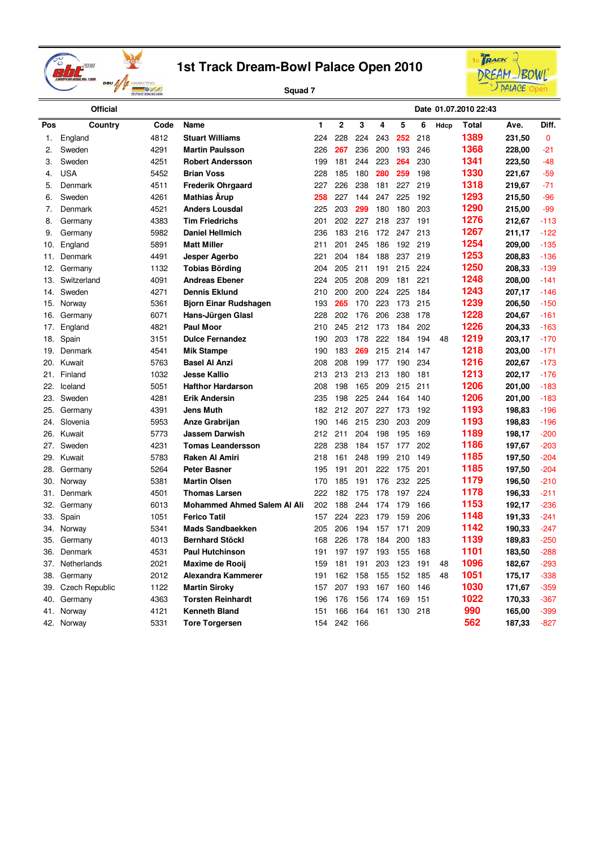



|     | <b>Official</b>       |      |                                    |     |                |     |     |     |     |      | Date 01.07.2010 22:43 |        |             |
|-----|-----------------------|------|------------------------------------|-----|----------------|-----|-----|-----|-----|------|-----------------------|--------|-------------|
| Pos | Country               | Code | <b>Name</b>                        | 1   | $\overline{2}$ | 3   | 4   | 5   | 6   | Hdcp | Total                 | Ave.   | Diff.       |
| 1.  | England               | 4812 | <b>Stuart Williams</b>             | 224 | 228            | 224 | 243 | 252 | 218 |      | 1389                  | 231,50 | $\mathbf 0$ |
| 2.  | Sweden                | 4291 | <b>Martin Paulsson</b>             | 226 | 267            | 236 | 200 | 193 | 246 |      | 1368                  | 228,00 | $-21$       |
| 3.  | Sweden                | 4251 | <b>Robert Andersson</b>            | 199 | 181            | 244 | 223 | 264 | 230 |      | 1341                  | 223.50 | $-48$       |
| 4.  | <b>USA</b>            | 5452 | <b>Brian Voss</b>                  | 228 | 185            | 180 | 280 | 259 | 198 |      | 1330                  | 221,67 | $-59$       |
| 5.  | Denmark               | 4511 | <b>Frederik Ohrgaard</b>           | 227 | 226            | 238 | 181 | 227 | 219 |      | 1318                  | 219,67 | $-71$       |
| 6.  | Sweden                | 4261 | <b>Mathias Arup</b>                | 258 | 227            | 144 | 247 | 225 | 192 |      | 1293                  | 215.50 | -96         |
| 7.  | Denmark               | 4521 | <b>Anders Lousdal</b>              | 225 | 203            | 299 | 180 | 180 | 203 |      | 1290                  | 215,00 | $-99$       |
| 8.  | Germany               | 4383 | <b>Tim Friedrichs</b>              | 201 | 202            | 227 | 218 | 237 | 191 |      | 1276                  | 212,67 | -113        |
| 9.  | Germany               | 5982 | <b>Daniel Hellmich</b>             | 236 | 183            | 216 | 172 | 247 | 213 |      | 1267                  | 211,17 | $-122$      |
| 10. | England               | 5891 | <b>Matt Miller</b>                 | 211 | 201            | 245 | 186 | 192 | 219 |      | 1254                  | 209,00 | $-135$      |
| 11. | Denmark               | 4491 | Jesper Agerbo                      | 221 | 204            | 184 | 188 | 237 | 219 |      | 1253                  | 208,83 | $-136$      |
| 12. | Germany               | 1132 | <b>Tobias Börding</b>              | 204 | 205            | 211 | 191 | 215 | 224 |      | 1250                  | 208,33 | $-139$      |
| 13. | Switzerland           | 4091 | <b>Andreas Ebener</b>              | 224 | 205            | 208 | 209 | 181 | 221 |      | 1248                  | 208,00 | $-141$      |
| 14. | Sweden                | 4271 | <b>Dennis Eklund</b>               | 210 | 200            | 200 | 224 | 225 | 184 |      | 1243                  | 207,17 | $-146$      |
| 15. | Norway                | 5361 | <b>Bjorn Einar Rudshagen</b>       | 193 | 265            | 170 | 223 | 173 | 215 |      | 1239                  | 206,50 | $-150$      |
| 16. | Germany               | 6071 | Hans-Jürgen Glasl                  | 228 | 202            | 176 | 206 | 238 | 178 |      | 1228                  | 204,67 | $-161$      |
| 17. | England               | 4821 | <b>Paul Moor</b>                   | 210 | 245            | 212 | 173 | 184 | 202 |      | 1226                  | 204,33 | $-163$      |
| 18. | Spain                 | 3151 | <b>Dulce Fernandez</b>             | 190 | 203            | 178 | 222 | 184 | 194 | 48   | 1219                  | 203,17 | $-170$      |
| 19. | Denmark               | 4541 | <b>Mik Stampe</b>                  | 190 | 183            | 269 | 215 | 214 | 147 |      | 1218                  | 203,00 | $-171$      |
| 20. | Kuwait                | 5763 | <b>Basel Al Anzi</b>               | 208 | 208            | 199 | 177 | 190 | 234 |      | 1216                  | 202,67 | $-173$      |
| 21. | Finland               | 1032 | <b>Jesse Kallio</b>                | 213 | 213            | 213 | 213 | 180 | 181 |      | 1213                  | 202,17 | -176        |
| 22. | Iceland               | 5051 | <b>Hafthor Hardarson</b>           | 208 | 198            | 165 | 209 | 215 | 211 |      | 1206                  | 201,00 | $-183$      |
| 23. | Sweden                | 4281 | <b>Erik Andersin</b>               | 235 | 198            | 225 | 244 | 164 | 140 |      | 1206                  | 201,00 | $-183$      |
| 25. | Germany               | 4391 | <b>Jens Muth</b>                   | 182 | 212            | 207 | 227 | 173 | 192 |      | 1193                  | 198,83 | $-196$      |
| 24. | Slovenia              | 5953 | Anze Grabrijan                     | 190 | 146            | 215 | 230 | 203 | 209 |      | 1193                  | 198,83 | -196        |
| 26. | Kuwait                | 5773 | <b>Jassem Darwish</b>              | 212 | 211            | 204 | 198 | 195 | 169 |      | 1189                  | 198,17 | $-200$      |
| 27. | Sweden                | 4231 | <b>Tomas Leandersson</b>           | 228 | 238            | 184 | 157 | 177 | 202 |      | 1186                  | 197,67 | $-203$      |
| 29. | Kuwait                | 5783 | <b>Raken Al Amiri</b>              | 218 | 161            | 248 | 199 | 210 | 149 |      | 1185                  | 197,50 | $-204$      |
| 28. | Germany               | 5264 | <b>Peter Basner</b>                | 195 | 191            | 201 | 222 | 175 | 201 |      | 1185                  | 197,50 | $-204$      |
| 30. | Norway                | 5381 | <b>Martin Olsen</b>                | 170 | 185            | 191 | 176 | 232 | 225 |      | 1179                  | 196,50 | $-210$      |
| 31. | Denmark               | 4501 | <b>Thomas Larsen</b>               | 222 | 182            | 175 | 178 | 197 | 224 |      | 1178                  | 196,33 | $-211$      |
| 32. | Germany               | 6013 | <b>Mohammed Ahmed Salem Al Ali</b> | 202 | 188            | 244 | 174 | 179 | 166 |      | 1153                  | 192,17 | $-236$      |
| 33. | Spain                 | 1051 | <b>Ferico Tatil</b>                | 157 | 224            | 223 | 179 | 159 | 206 |      | 1148                  | 191,33 | $-241$      |
| 34. | Norway                | 5341 | <b>Mads Sandbaekken</b>            | 205 | 206            | 194 | 157 | 171 | 209 |      | 1142                  | 190,33 | $-247$      |
| 35. | Germany               | 4013 | <b>Bernhard Stöckl</b>             | 168 | 226            | 178 | 184 | 200 | 183 |      | 1139                  | 189,83 | $-250$      |
| 36. | Denmark               | 4531 | <b>Paul Hutchinson</b>             | 191 | 197            | 197 | 193 | 155 | 168 |      | 1101                  | 183,50 | $-288$      |
| 37. | Netherlands           | 2021 | <b>Maxime de Rooij</b>             | 159 | 181            | 191 | 203 | 123 | 191 | 48   | 1096                  | 182,67 | -293        |
| 38. | Germany               | 2012 | Alexandra Kammerer                 | 191 | 162            | 158 | 155 | 152 | 185 | 48   | 1051                  | 175,17 | -338        |
| 39. | <b>Czech Republic</b> | 1122 | <b>Martin Siroky</b>               | 157 | 207            | 193 | 167 | 160 | 146 |      | 1030                  | 171,67 | $-359$      |
| 40. | Germany               | 4363 | <b>Torsten Reinhardt</b>           | 196 | 176            | 156 | 174 | 169 | 151 |      | 1022                  | 170,33 | -367        |
| 41. | Norway                | 4121 | <b>Kenneth Bland</b>               | 151 | 166            | 164 | 161 | 130 | 218 |      | 990                   | 165,00 | $-399$      |
|     | 42. Norway            | 5331 | <b>Tore Torgersen</b>              | 154 | 242            | 166 |     |     |     |      | 562                   | 187,33 | $-827$      |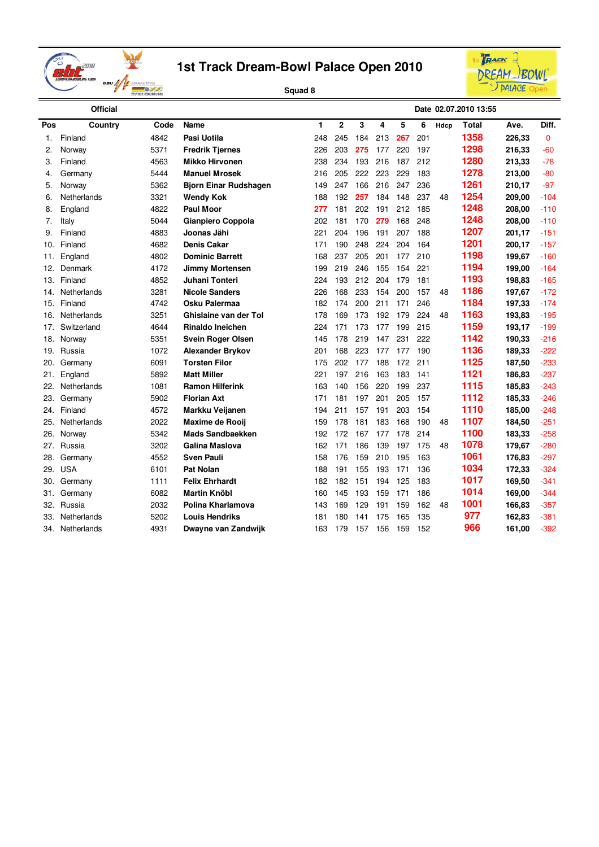



|     | <b>Official</b> |      |                              |     |                |     |     |     |     |      | Date 02.07.2010 13:55 |        |        |
|-----|-----------------|------|------------------------------|-----|----------------|-----|-----|-----|-----|------|-----------------------|--------|--------|
| Pos | Country         | Code | Name                         | 1   | $\overline{2}$ | 3   | 4   | 5   | 6   | Hdcp | <b>Total</b>          | Ave.   | Diff.  |
| 1.  | Finland         | 4842 | Pasi Uotila                  | 248 | 245            | 184 | 213 | 267 | 201 |      | 1358                  | 226,33 | 0      |
| 2.  | Norway          | 5371 | <b>Fredrik Tjernes</b>       | 226 | 203            | 275 | 177 | 220 | 197 |      | 1298                  | 216,33 | $-60$  |
| 3.  | Finland         | 4563 | <b>Mikko Hirvonen</b>        | 238 | 234            | 193 | 216 | 187 | 212 |      | 1280                  | 213,33 | $-78$  |
| 4.  | Germany         | 5444 | <b>Manuel Mrosek</b>         | 216 | 205            | 222 | 223 | 229 | 183 |      | 1278                  | 213,00 | -80    |
| 5.  | Norway          | 5362 | <b>Bjorn Einar Rudshagen</b> | 149 | 247            | 166 | 216 | 247 | 236 |      | 1261                  | 210,17 | $-97$  |
| 6.  | Netherlands     | 3321 | <b>Wendy Kok</b>             | 188 | 192            | 257 | 184 | 148 | 237 | 48   | 1254                  | 209,00 | $-104$ |
| 8.  | England         | 4822 | <b>Paul Moor</b>             | 277 | 181            | 202 | 191 | 212 | 185 |      | 1248                  | 208,00 | $-110$ |
| 7.  | Italy           | 5044 | Gianpiero Coppola            | 202 | 181            | 170 | 279 | 168 | 248 |      | 1248                  | 208,00 | $-110$ |
| 9.  | Finland         | 4883 | Joonas Jähi                  | 221 | 204            | 196 | 191 | 207 | 188 |      | 1207                  | 201,17 | $-151$ |
| 10. | Finland         | 4682 | <b>Denis Cakar</b>           | 171 | 190            | 248 | 224 | 204 | 164 |      | 1201                  | 200,17 | $-157$ |
| 11. | England         | 4802 | <b>Dominic Barrett</b>       | 168 | 237            | 205 | 201 | 177 | 210 |      | 1198                  | 199,67 | $-160$ |
| 12. | Denmark         | 4172 | <b>Jimmy Mortensen</b>       | 199 | 219            | 246 | 155 | 154 | 221 |      | 1194                  | 199,00 | $-164$ |
| 13. | Finland         | 4852 | Juhani Tonteri               | 224 | 193            | 212 | 204 | 179 | 181 |      | 1193                  | 198,83 | $-165$ |
| 14. | Netherlands     | 3281 | <b>Nicole Sanders</b>        | 226 | 168            | 233 | 154 | 200 | 157 | 48   | 1186                  | 197,67 | $-172$ |
| 15. | Finland         | 4742 | Osku Palermaa                | 182 | 174            | 200 | 211 | 171 | 246 |      | 1184                  | 197,33 | $-174$ |
| 16. | Netherlands     | 3251 | Ghislaine van der Tol        | 178 | 169            | 173 | 192 | 179 | 224 | 48   | 1163                  | 193,83 | $-195$ |
| 17. | Switzerland     | 4644 | <b>Rinaldo Ineichen</b>      | 224 | 171            | 173 | 177 | 199 | 215 |      | 1159                  | 193,17 | -199   |
| 18. | Norway          | 5351 | <b>Svein Roger Olsen</b>     | 145 | 178            | 219 | 147 | 231 | 222 |      | 1142                  | 190,33 | $-216$ |
| 19. | Russia          | 1072 | <b>Alexander Brykov</b>      | 201 | 168            | 223 | 177 | 177 | 190 |      | 1136                  | 189,33 | $-222$ |
| 20. | Germany         | 6091 | <b>Torsten Filor</b>         | 175 | 202            | 177 | 188 | 172 | 211 |      | 1125                  | 187,50 | $-233$ |
| 21. | England         | 5892 | <b>Matt Miller</b>           | 221 | 197            | 216 | 163 | 183 | 141 |      | 1121                  | 186,83 | $-237$ |
| 22. | Netherlands     | 1081 | <b>Ramon Hilferink</b>       | 163 | 140            | 156 | 220 | 199 | 237 |      | 1115                  | 185,83 | $-243$ |
| 23. | Germany         | 5902 | <b>Florian Axt</b>           | 171 | 181            | 197 | 201 | 205 | 157 |      | 1112                  | 185,33 | $-246$ |
| 24. | Finland         | 4572 | Markku Veijanen              | 194 | 211            | 157 | 191 | 203 | 154 |      | 1110                  | 185,00 | $-248$ |
| 25. | Netherlands     | 2022 | Maxime de Rooij              | 159 | 178            | 181 | 183 | 168 | 190 | 48   | 1107                  | 184,50 | $-251$ |
| 26. | Norway          | 5342 | Mads Sandbaekken             | 192 | 172            | 167 | 177 | 178 | 214 |      | 1100                  | 183,33 | $-258$ |
| 27. | Russia          | 3202 | Galina Maslova               | 162 | 171            | 186 | 139 | 197 | 175 | 48   | 1078                  | 179,67 | $-280$ |
| 28. | Germany         | 4552 | <b>Sven Pauli</b>            | 158 | 176            | 159 | 210 | 195 | 163 |      | 1061                  | 176,83 | $-297$ |
| 29. | <b>USA</b>      | 6101 | <b>Pat Nolan</b>             | 188 | 191            | 155 | 193 | 171 | 136 |      | 1034                  | 172,33 | $-324$ |
| 30. | Germany         | 1111 | <b>Felix Ehrhardt</b>        | 182 | 182            | 151 | 194 | 125 | 183 |      | 1017                  | 169,50 | $-341$ |
| 31. | Germany         | 6082 | <b>Martin Knöbl</b>          | 160 | 145            | 193 | 159 | 171 | 186 |      | 1014                  | 169,00 | $-344$ |
| 32. | Russia          | 2032 | Polina Kharlamova            | 143 | 169            | 129 | 191 | 159 | 162 | 48   | 1001                  | 166,83 | $-357$ |
| 33. | Netherlands     | 5202 | <b>Louis Hendriks</b>        | 181 | 180            | 141 | 175 | 165 | 135 |      | 977                   | 162,83 | $-381$ |
| 34. | Netherlands     | 4931 | Dwayne van Zandwijk          | 163 | 179            | 157 | 156 | 159 | 152 |      | 966                   | 161,00 | $-392$ |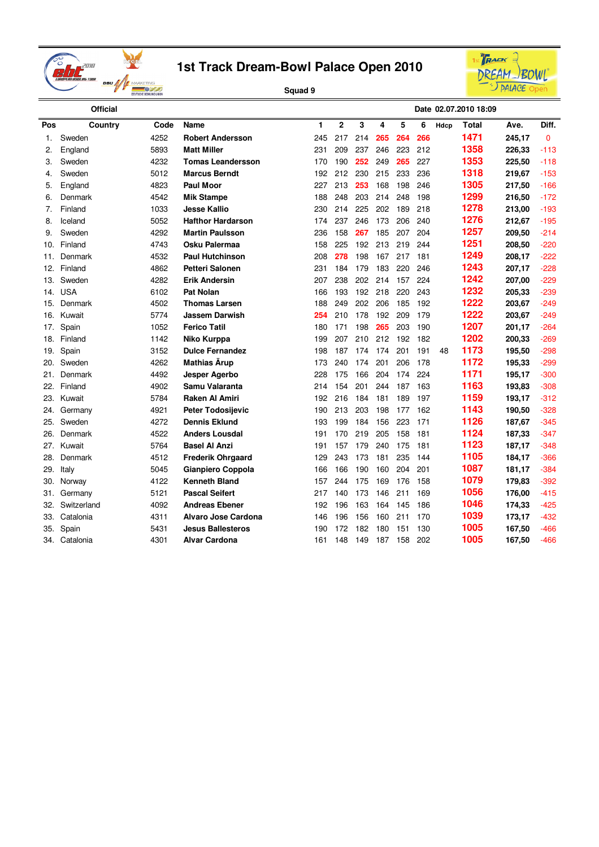



|     | <b>Official</b> |      |                          |     |              |     |     |     |     |      | Date 02.07.2010 18:09 |        |              |
|-----|-----------------|------|--------------------------|-----|--------------|-----|-----|-----|-----|------|-----------------------|--------|--------------|
| Pos | Country         | Code | <b>Name</b>              | 1   | $\mathbf{2}$ | 3   | 4   | 5   | 6   | Hdcp | <b>Total</b>          | Ave.   | Diff.        |
| 1.  | Sweden          | 4252 | <b>Robert Andersson</b>  | 245 | 217          | 214 | 265 | 264 | 266 |      | 1471                  | 245,17 | $\mathbf{0}$ |
| 2.  | England         | 5893 | <b>Matt Miller</b>       | 231 | 209          | 237 | 246 | 223 | 212 |      | 1358                  | 226,33 | $-113$       |
| 3.  | Sweden          | 4232 | <b>Tomas Leandersson</b> | 170 | 190          | 252 | 249 | 265 | 227 |      | 1353                  | 225,50 | $-118$       |
| 4.  | Sweden          | 5012 | <b>Marcus Berndt</b>     | 192 | 212          | 230 | 215 | 233 | 236 |      | 1318                  | 219,67 | $-153$       |
| 5.  | England         | 4823 | <b>Paul Moor</b>         | 227 | 213          | 253 | 168 | 198 | 246 |      | 1305                  | 217,50 | $-166$       |
| 6.  | Denmark         | 4542 | <b>Mik Stampe</b>        | 188 | 248          | 203 | 214 | 248 | 198 |      | 1299                  | 216,50 | $-172$       |
| 7.  | Finland         | 1033 | <b>Jesse Kallio</b>      | 230 | 214          | 225 | 202 | 189 | 218 |      | 1278                  | 213,00 | $-193$       |
| 8.  | Iceland         | 5052 | <b>Hafthor Hardarson</b> | 174 | 237          | 246 | 173 | 206 | 240 |      | 1276                  | 212,67 | $-195$       |
| 9.  | Sweden          | 4292 | <b>Martin Paulsson</b>   | 236 | 158          | 267 | 185 | 207 | 204 |      | 1257                  | 209,50 | $-214$       |
| 10. | Finland         | 4743 | Osku Palermaa            | 158 | 225          | 192 | 213 | 219 | 244 |      | 1251                  | 208,50 | $-220$       |
| 11. | Denmark         | 4532 | <b>Paul Hutchinson</b>   | 208 | 278          | 198 | 167 | 217 | 181 |      | 1249                  | 208,17 | $-222$       |
| 12. | Finland         | 4862 | <b>Petteri Salonen</b>   | 231 | 184          | 179 | 183 | 220 | 246 |      | 1243                  | 207,17 | $-228$       |
| 13. | Sweden          | 4282 | <b>Erik Andersin</b>     | 207 | 238          | 202 | 214 | 157 | 224 |      | 1242                  | 207,00 | $-229$       |
| 14. | <b>USA</b>      | 6102 | <b>Pat Nolan</b>         | 166 | 193          | 192 | 218 | 220 | 243 |      | 1232                  | 205,33 | $-239$       |
| 15. | Denmark         | 4502 | <b>Thomas Larsen</b>     | 188 | 249          | 202 | 206 | 185 | 192 |      | 1222                  | 203,67 | $-249$       |
| 16. | Kuwait          | 5774 | <b>Jassem Darwish</b>    | 254 | 210          | 178 | 192 | 209 | 179 |      | 1222                  | 203,67 | $-249$       |
| 17. | Spain           | 1052 | <b>Ferico Tatil</b>      | 180 | 171          | 198 | 265 | 203 | 190 |      | 1207                  | 201,17 | $-264$       |
| 18. | Finland         | 1142 | Niko Kurppa              | 199 | 207          | 210 | 212 | 192 | 182 |      | 1202                  | 200,33 | $-269$       |
| 19. | Spain           | 3152 | <b>Dulce Fernandez</b>   | 198 | 187          | 174 | 174 | 201 | 191 | 48   | 1173                  | 195,50 | -298         |
| 20. | Sweden          | 4262 | <b>Mathias Ärup</b>      | 173 | 240          | 174 | 201 | 206 | 178 |      | 1172                  | 195,33 | -299         |
| 21. | Denmark         | 4492 | Jesper Agerbo            | 228 | 175          | 166 | 204 | 174 | 224 |      | 1171                  | 195,17 | $-300$       |
| 22. | Finland         | 4902 | Samu Valaranta           | 214 | 154          | 201 | 244 | 187 | 163 |      | 1163                  | 193,83 | $-308$       |
| 23. | Kuwait          | 5784 | Raken Al Amiri           | 192 | 216          | 184 | 181 | 189 | 197 |      | 1159                  | 193,17 | $-312$       |
| 24. | Germany         | 4921 | <b>Peter Todosijevic</b> | 190 | 213          | 203 | 198 | 177 | 162 |      | 1143                  | 190,50 | $-328$       |
| 25. | Sweden          | 4272 | <b>Dennis Eklund</b>     | 193 | 199          | 184 | 156 | 223 | 171 |      | 1126                  | 187,67 | $-345$       |
| 26. | Denmark         | 4522 | <b>Anders Lousdal</b>    | 191 | 170          | 219 | 205 | 158 | 181 |      | 1124                  | 187,33 | $-347$       |
| 27. | Kuwait          | 5764 | <b>Basel Al Anzi</b>     | 191 | 157          | 179 | 240 | 175 | 181 |      | 1123                  | 187,17 | $-348$       |
| 28. | Denmark         | 4512 | <b>Frederik Ohrgaard</b> | 129 | 243          | 173 | 181 | 235 | 144 |      | 1105                  | 184,17 | -366         |
| 29. | Italy           | 5045 | Gianpiero Coppola        | 166 | 166          | 190 | 160 | 204 | 201 |      | 1087                  | 181,17 | $-384$       |
| 30. | Norway          | 4122 | <b>Kenneth Bland</b>     | 157 | 244          | 175 | 169 | 176 | 158 |      | 1079                  | 179,83 | -392         |
| 31. | Germany         | 5121 | <b>Pascal Seifert</b>    | 217 | 140          | 173 | 146 | 211 | 169 |      | 1056                  | 176,00 | -415         |
| 32. | Switzerland     | 4092 | <b>Andreas Ebener</b>    | 192 | 196          | 163 | 164 | 145 | 186 |      | 1046                  | 174,33 | -425         |
| 33. | Catalonia       | 4311 | Alvaro Jose Cardona      | 146 | 196          | 156 | 160 | 211 | 170 |      | 1039                  | 173,17 | $-432$       |
| 35. | Spain           | 5431 | <b>Jesus Ballesteros</b> | 190 | 172          | 182 | 180 | 151 | 130 |      | 1005                  | 167,50 | -466         |
| 34. | Catalonia       | 4301 | <b>Alvar Cardona</b>     | 161 | 148          | 149 | 187 | 158 | 202 |      | 1005                  | 167,50 | -466         |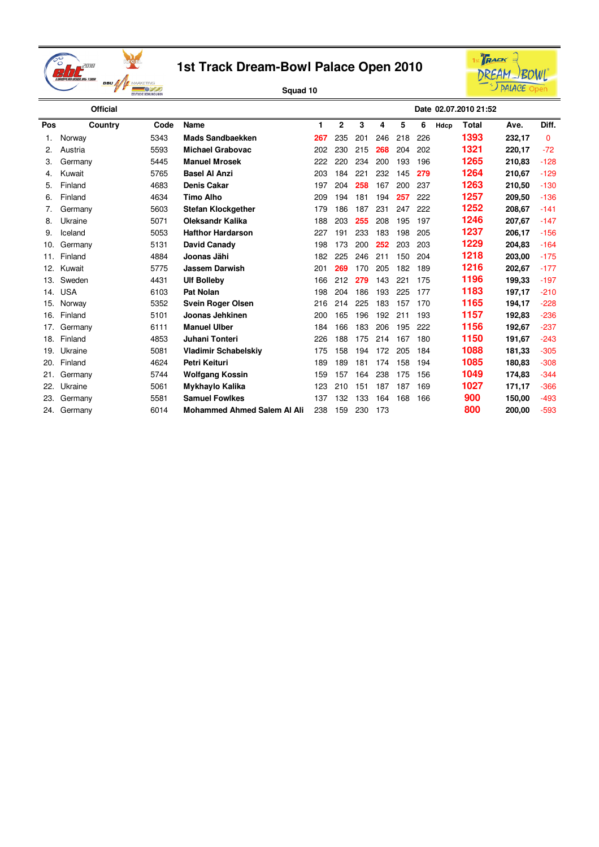



|     | <b>Official</b> |      |                                    |     |              |     |     |     |     |      | Date 02.07.2010 21:52 |        |          |
|-----|-----------------|------|------------------------------------|-----|--------------|-----|-----|-----|-----|------|-----------------------|--------|----------|
| Pos | Country         | Code | <b>Name</b>                        | 1   | $\mathbf{2}$ | 3   | 4   | 5   | 6   | Hdcp | <b>Total</b>          | Ave.   | Diff.    |
|     | Norway          | 5343 | <b>Mads Sandbaekken</b>            | 267 | 235          | 201 | 246 | 218 | 226 |      | 1393                  | 232,17 | $\Omega$ |
| 2.  | Austria         | 5593 | <b>Michael Grabovac</b>            | 202 | 230          | 215 | 268 | 204 | 202 |      | 1321                  | 220.17 | $-72$    |
| 3.  | Germany         | 5445 | <b>Manuel Mrosek</b>               | 222 | 220          | 234 | 200 | 193 | 196 |      | 1265                  | 210.83 | $-128$   |
| 4.  | Kuwait          | 5765 | <b>Basel Al Anzi</b>               | 203 | 184          | 221 | 232 | 145 | 279 |      | 1264                  | 210,67 | $-129$   |
| 5.  | Finland         | 4683 | <b>Denis Cakar</b>                 | 197 | 204          | 258 | 167 | 200 | 237 |      | 1263                  | 210.50 | $-130$   |
| 6.  | Finland         | 4634 | <b>Timo Alho</b>                   | 209 | 194          | 181 | 194 | 257 | 222 |      | 1257                  | 209,50 | $-136$   |
| 7.  | Germany         | 5603 | <b>Stefan Klockgether</b>          | 179 | 186          | 187 | 231 | 247 | 222 |      | 1252                  | 208,67 | $-141$   |
| 8.  | Ukraine         | 5071 | <b>Oleksandr Kalika</b>            | 188 | 203          | 255 | 208 | 195 | 197 |      | 1246                  | 207,67 | $-147$   |
| 9.  | Iceland         | 5053 | <b>Hafthor Hardarson</b>           | 227 | 191          | 233 | 183 | 198 | 205 |      | 1237                  | 206.17 | $-156$   |
| 10. | Germany         | 5131 | David Canady                       | 198 | 173          | 200 | 252 | 203 | 203 |      | 1229                  | 204.83 | $-164$   |
| 11. | Finland         | 4884 | Joonas Jähi                        | 182 | 225          | 246 | 211 | 150 | 204 |      | 1218                  | 203,00 | $-175$   |
| 12. | Kuwait          | 5775 | <b>Jassem Darwish</b>              | 201 | 269          | 170 | 205 | 182 | 189 |      | 1216                  | 202,67 | $-177$   |
| 13. | Sweden          | 4431 | <b>Ulf Bolleby</b>                 | 166 | 212          | 279 | 143 | 221 | 175 |      | 1196                  | 199,33 | $-197$   |
| 14. | <b>USA</b>      | 6103 | <b>Pat Nolan</b>                   | 198 | 204          | 186 | 193 | 225 | 177 |      | 1183                  | 197,17 | $-210$   |
| 15. | Norway          | 5352 | <b>Svein Roger Olsen</b>           | 216 | 214          | 225 | 183 | 157 | 170 |      | 1165                  | 194,17 | $-228$   |
| 16. | Finland         | 5101 | Joonas Jehkinen                    | 200 | 165          | 196 | 192 | 211 | 193 |      | 1157                  | 192,83 | $-236$   |
| 17. | Germany         | 6111 | <b>Manuel Ulber</b>                | 184 | 166          | 183 | 206 | 195 | 222 |      | 1156                  | 192,67 | $-237$   |
| 18. | Finland         | 4853 | Juhani Tonteri                     | 226 | 188          | 175 | 214 | 167 | 180 |      | 1150                  | 191,67 | $-243$   |
| 19. | Ukraine         | 5081 | <b>Vladimir Schabelskiy</b>        | 175 | 158          | 194 | 172 | 205 | 184 |      | 1088                  | 181,33 | $-305$   |
| 20. | Finland         | 4624 | Petri Keituri                      | 189 | 189          | 181 | 174 | 158 | 194 |      | 1085                  | 180,83 | $-308$   |
| 21. | Germany         | 5744 | Wolfgang Kossin                    | 159 | 157          | 164 | 238 | 175 | 156 |      | 1049                  | 174,83 | $-344$   |
| 22. | Ukraine         | 5061 | Mykhaylo Kalika                    | 123 | 210          | 151 | 187 | 187 | 169 |      | 1027                  | 171,17 | $-366$   |
| 23. | Germany         | 5581 | <b>Samuel Fowlkes</b>              | 137 | 132          | 133 | 164 | 168 | 166 |      | 900                   | 150,00 | $-493$   |
| 24. | Germany         | 6014 | <b>Mohammed Ahmed Salem AI Ali</b> | 238 | 159          | 230 | 173 |     |     |      | 800                   | 200,00 | $-593$   |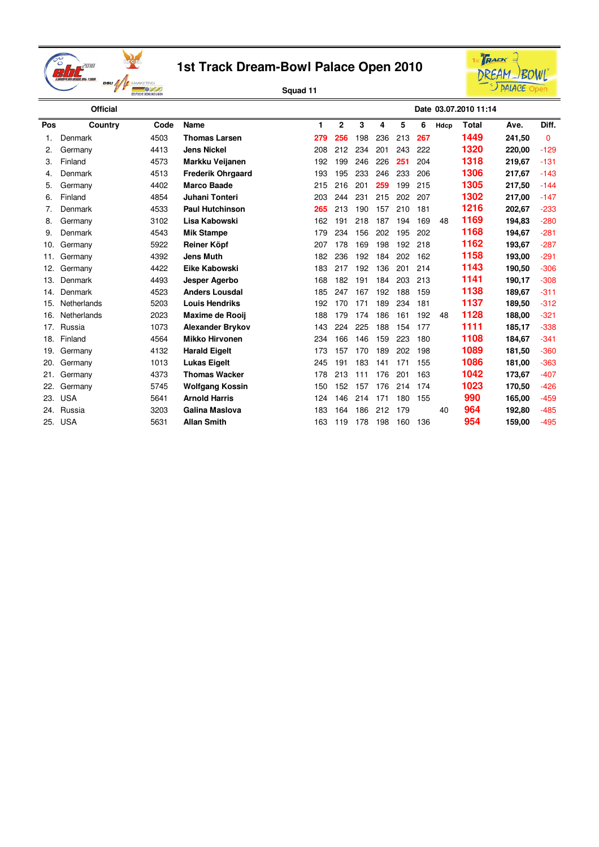



|     | <b>Official</b> |      |                          |     |                |     |     |     |     |      | Date 03.07.2010 11:14 |        |          |
|-----|-----------------|------|--------------------------|-----|----------------|-----|-----|-----|-----|------|-----------------------|--------|----------|
| Pos | Country         | Code | Name                     | 1   | $\overline{2}$ | 3   | 4   | 5   | 6   | Hdcp | <b>Total</b>          | Ave.   | Diff.    |
| 1.  | Denmark         | 4503 | <b>Thomas Larsen</b>     | 279 | 256            | 198 | 236 | 213 | 267 |      | 1449                  | 241,50 | $\Omega$ |
| 2.  | Germany         | 4413 | <b>Jens Nickel</b>       | 208 | 212            | 234 | 201 | 243 | 222 |      | 1320                  | 220,00 | $-129$   |
| 3.  | Finland         | 4573 | Markku Veijanen          | 192 | 199            | 246 | 226 | 251 | 204 |      | 1318                  | 219,67 | $-131$   |
| 4.  | Denmark         | 4513 | <b>Frederik Ohrgaard</b> | 193 | 195            | 233 | 246 | 233 | 206 |      | 1306                  | 217,67 | $-143$   |
| 5.  | Germany         | 4402 | <b>Marco Baade</b>       | 215 | 216            | 201 | 259 | 199 | 215 |      | 1305                  | 217,50 | $-144$   |
| 6.  | Finland         | 4854 | Juhani Tonteri           | 203 | 244            | 231 | 215 | 202 | 207 |      | 1302                  | 217,00 | $-147$   |
| 7.  | Denmark         | 4533 | <b>Paul Hutchinson</b>   | 265 | 213            | 190 | 157 | 210 | 181 |      | 1216                  | 202,67 | $-233$   |
| 8.  | Germany         | 3102 | Lisa Kabowski            | 162 | 191            | 218 | 187 | 194 | 169 | 48   | 1169                  | 194,83 | $-280$   |
| 9.  | Denmark         | 4543 | <b>Mik Stampe</b>        | 179 | 234            | 156 | 202 | 195 | 202 |      | 1168                  | 194,67 | $-281$   |
| 10. | Germany         | 5922 | Reiner Köpf              | 207 | 178            | 169 | 198 | 192 | 218 |      | 1162                  | 193,67 | $-287$   |
| 11. | Germany         | 4392 | <b>Jens Muth</b>         | 182 | 236            | 192 | 184 | 202 | 162 |      | 1158                  | 193,00 | $-291$   |
| 12. | Germany         | 4422 | Eike Kabowski            | 183 | 217            | 192 | 136 | 201 | 214 |      | 1143                  | 190,50 | $-306$   |
| 13. | Denmark         | 4493 | Jesper Agerbo            | 168 | 182            | 191 | 184 | 203 | 213 |      | 1141                  | 190,17 | $-308$   |
| 14. | Denmark         | 4523 | <b>Anders Lousdal</b>    | 185 | 247            | 167 | 192 | 188 | 159 |      | 1138                  | 189,67 | $-311$   |
| 15. | Netherlands     | 5203 | <b>Louis Hendriks</b>    | 192 | 170            | 171 | 189 | 234 | 181 |      | 1137                  | 189,50 | $-312$   |
| 16. | Netherlands     | 2023 | Maxime de Rooij          | 188 | 179            | 174 | 186 | 161 | 192 | 48   | 1128                  | 188,00 | $-321$   |
| 17. | Russia          | 1073 | <b>Alexander Brykov</b>  | 143 | 224            | 225 | 188 | 154 | 177 |      | 1111                  | 185,17 | $-338$   |
| 18. | Finland         | 4564 | <b>Mikko Hirvonen</b>    | 234 | 166            | 146 | 159 | 223 | 180 |      | 1108                  | 184,67 | $-341$   |
| 19. | Germany         | 4132 | <b>Harald Eigelt</b>     | 173 | 157            | 170 | 189 | 202 | 198 |      | 1089                  | 181,50 | $-360$   |
| 20. | Germany         | 1013 | <b>Lukas Eigelt</b>      | 245 | 191            | 183 | 141 | 171 | 155 |      | 1086                  | 181,00 | $-363$   |
| 21. | Germany         | 4373 | <b>Thomas Wacker</b>     | 178 | 213            | 111 | 176 | 201 | 163 |      | 1042                  | 173,67 | $-407$   |
| 22. | Germany         | 5745 | <b>Wolfgang Kossin</b>   | 150 | 152            | 157 | 176 | 214 | 174 |      | 1023                  | 170,50 | $-426$   |
| 23. | <b>USA</b>      | 5641 | <b>Arnold Harris</b>     | 124 | 146            | 214 | 171 | 180 | 155 |      | 990                   | 165,00 | $-459$   |
| 24. | Russia          | 3203 | <b>Galina Maslova</b>    | 183 | 164            | 186 | 212 | 179 |     | 40   | 964                   | 192,80 | $-485$   |
| 25. | <b>USA</b>      | 5631 | <b>Allan Smith</b>       | 163 | 119            | 178 | 198 | 160 | 136 |      | 954                   | 159,00 | $-495$   |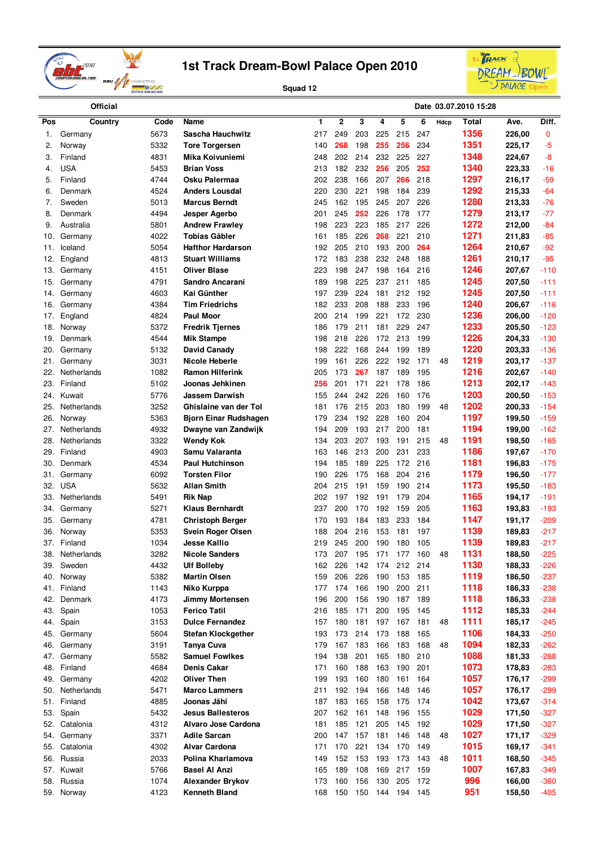



| <b>Official</b> |                       |              |                                  |            |             |            |            |            |            |      | Date 03.07.2010 15:28 |                  |                  |
|-----------------|-----------------------|--------------|----------------------------------|------------|-------------|------------|------------|------------|------------|------|-----------------------|------------------|------------------|
| Pos             | Country               | Code         | Name                             | 1          | $\mathbf 2$ | 3          | 4          | 5          | 6          | Hdcp | Total                 | Ave.             | Diff.            |
| 1.              | Germany               | 5673         | Sascha Hauchwitz                 | 217        | 249         | 203        | 225        | 215        | 247        |      | 1356                  | 226,00           | 0                |
| 2.              | Norway                | 5332         | <b>Tore Torgersen</b>            | 140        | 268         | 198        | 255        | 256        | 234        |      | 1351                  | 225,17           | $-5$             |
| 3.              | Finland               | 4831         | Mika Koivuniemi                  | 248        | 202         | 214        | 232        | 225        | 227        |      | 1348                  | 224,67           | -8               |
| 4.              | <b>USA</b>            | 5453         | <b>Brian Voss</b>                | 213        | 182         | 232        | 256        | 205        | 252        |      | 1340                  | 223,33           | -16              |
| 5.              | Finland               | 4744         | Osku Palermaa                    | 202        | 238         | 166        | 207        | 266        | 218        |      | 1297                  | 216,17           | $-59$            |
| 6.              | Denmark               | 4524         | <b>Anders Lousdal</b>            | 220        | 230         | 221        | 198        | 184        | 239        |      | 1292                  | 215,33           | $-64$            |
| 7.              | Sweden                | 5013         | <b>Marcus Berndt</b>             | 245        | 162         | 195        | 245        | 207        | 226        |      | 1280                  | 213,33           | $-76$            |
| 8.              | Denmark               | 4494         | Jesper Agerbo                    | 201        | 245         | 252        | 226        | 178        | 177        |      | 1279                  | 213,17           | $-77$            |
| 9.              | Australia             | 5801         | <b>Andrew Frawley</b>            | 198        | 223         | 223        | 185        | 217        | 226        |      | 1272                  | 212,00           | $-84$            |
| 10.             | Germany               | 4022         | Tobias Gäbler                    | 161        | 185         | 226        | 268        | 221        | 210        |      | 1271                  | 211,83           | $-85$            |
| 11.             | Iceland               | 5054         | <b>Hafthor Hardarson</b>         | 192        | 205         | 210        | 193        | 200        | 264        |      | 1264                  | 210,67           | -92              |
| 12.             | England               | 4813         | <b>Stuart Williams</b>           | 172        | 183         | 238        | 232        | 248        | 188        |      | 1261                  | 210,17           | $-95$            |
| 13.             | Germany               | 4151         | <b>Oliver Blase</b>              | 223        | 198         | 247        | 198        | 164        | 216        |      | 1246                  | 207,67           | $-110$           |
| 15.             | Germany               | 4791         | Sandro Ancarani                  | 189        | 198         | 225        | 237        | 211        | 185        |      | 1245                  | 207,50           | -111             |
| 14.             | Germany               | 4603         | Kai Günther                      | 197        | 239         | 224        | 181        | 212        | 192        |      | 1245                  | 207,50           | -111             |
| 16.             | Germany               | 4384         | Tim Friedrichs                   | 182        | 233         | 208        | 188        | 233        | 196        |      | 1240                  | 206,67           | $-116$           |
| 17.             | England               | 4824         | <b>Paul Moor</b>                 | 200        | 214         | 199        | 221        | 172        | 230        |      | 1236                  | 206,00           | $-120$           |
| 18.             | Norway                | 5372         | <b>Fredrik Tjernes</b>           | 186        | 179         | 211        | 181        | 229        | 247        |      | 1233                  | 205,50           | $-123$           |
| 19.             | Denmark               | 4544         | Mik Stampe                       | 198        | 218         | 226        | 172        | 213        | 199        |      | 1226                  | 204,33           | $-130$           |
| 20.             | Germany               | 5132         | David Canady                     | 198        | 222         | 168        | 244        | 199        | 189        |      | 1220                  | 203,33           | $-136$           |
| 21.             | Germany               | 3031         | Nicole Heberle                   | 199        | 161         | 226        | 222        | 192        | 171        | 48   | 1219                  | 203,17           | $-137$           |
| 22.             | Netherlands           | 1082         | <b>Ramon Hilferink</b>           | 205        | 173         | 267        | 187        | 189        | 195        |      | 1216                  | 202,67           | $-140$           |
| 23.             | Finland               | 5102         | Joonas Jehkinen                  | 256        | 201         | 171        | 221        | 178        | 186        |      | 1213<br>1203          | 202,17           | $-143$           |
| 24.             | Kuwait                | 5776         | <b>Jassem Darwish</b>            | 155        | 244         | 242        | 226        | 160        | 176        |      | 1202                  | 200,50           | $-153$           |
| 25.             | Netherlands           | 3252         | Ghislaine van der Tol            | 181        | 176<br>234  | 215<br>192 | 203<br>228 | 180        | 199<br>204 | 48   | 1197                  | 200,33           | $-154$<br>$-159$ |
| 26.<br>27.      | Norway<br>Netherlands | 5363<br>4932 | Bjorn Einar Rudshagen            | 179<br>194 | 209         | 193        | 217        | 160<br>200 | 181        |      | 1194                  | 199,50           | $-162$           |
| 28.             | Netherlands           | 3322         | Dwayne van Zandwijk<br>Wendy Kok | 134        | 203         | 207        | 193        | 191        | 215        | 48   | 1191                  | 199,00<br>198,50 | $-165$           |
| 29.             | Finland               | 4903         | Samu Valaranta                   | 163        | 146         | 213        | 200        | 231        | 233        |      | 1186                  | 197,67           | $-170$           |
| 30.             | Denmark               | 4534         | <b>Paul Hutchinson</b>           | 194        | 185         | 189        | 225        | 172        | 216        |      | 1181                  | 196,83           | $-175$           |
| 31.             | Germany               | 6092         | Torsten Filor                    | 190        | 226         | 175        | 168        | 204        | 216        |      | 1179                  | 196,50           | $-177$           |
| 32.             | <b>USA</b>            | 5632         | <b>Allan Smith</b>               | 204        | 215         | 191        | 159        | 190        | 214        |      | 1173                  | 195,50           | $-183$           |
| 33.             | Netherlands           | 5491         | Rik Nap                          | 202        | 197         | 192        | 191        | 179        | 204        |      | 1165                  | 194,17           | -191             |
| 34.             | Germany               | 5271         | <b>Klaus Bernhardt</b>           | 237        | 200         | 170        | 192        | 159        | 205        |      | 1163                  | 193,83           | $-193$           |
| 35.             | Germany               | 4781         | <b>Christoph Berger</b>          | 170        | 193         | 184        | 183        | 233        | 184        |      | 1147                  | 191,17           | -209             |
| 36.             | Norway                | 5353         | Svein Roger Olsen                | 188        | 204         | 216        | 153        | 181        | 197        |      | 1139                  | 189,83           | -217             |
|                 | 37. Finland           | 1034         | Jesse Kallio                     | 219        | 245         | 200        | 190        | 180        | 105        |      | 1139                  | 189,83           | $-217$           |
| 38.             | Netherlands           | 3282         | <b>Nicole Sanders</b>            | 173        | 207         | 195        | 171        | 177        | 160        | 48   | 1131                  | 188,50           | $-225$           |
| 39.             | Sweden                | 4432         | <b>Ulf Bolleby</b>               | 162        | 226         | 142        | 174        | 212        | 214        |      | 1130                  | 188,33           | -226             |
| 40.             | Norway                | 5382         | <b>Martin Olsen</b>              | 159        | 206         | 226        | 190        | 153        | 185        |      | 1119                  | 186,50           | $-237$           |
| 41.             | Finland               | 1143         | Niko Kurppa                      | 177        | 174         | 166        | 190        | 200        | 211        |      | 1118                  | 186,33           | $-238$           |
| 42.             | Denmark               | 4173         | Jimmy Mortensen                  | 196        | 200         | 156        | 190        | 187        | 189        |      | 1118                  | 186,33           | $-238$           |
| 43.             | Spain                 | 1053         | <b>Ferico Tatil</b>              | 216        | 185         | 171        | 200        | 195        | 145        |      | 1112                  | 185,33           | $-244$           |
| 44.             | Spain                 | 3153         | <b>Dulce Fernandez</b>           | 157        | 180         | 181        |            | 197 167    | 181        | 48   | 1111                  | 185,17           | $-245$           |
| 45.             | Germany               | 5604         | Stefan Klockgether               | 193        | 173         | 214        | 173        | 188        | 165        |      | 1106                  | 184,33           | $-250$           |
| 46.             | Germany               | 3191         | Tanya Cuva                       | 179        | 167         | 183        | 166        | 183        | 168        | 48   | 1094                  | 182,33           | $-262$           |
| 47.             | Germany               | 5582         | <b>Samuel Fowlkes</b>            | 194        | 138         | 201        | 165        | 180        | 210        |      | 1088                  | 181,33           | $-268$           |
| 48.             | Finland               | 4684         | Denis Cakar                      | 171        | 160         | 188        | 163        | 190        | 201        |      | 1073                  | 178,83           | $-283$           |
| 49.             | Germany               | 4202         | <b>Oliver Then</b>               | 199        | 193         | 160        | 180        | 161        | 164        |      | 1057                  | 176,17           | $-299$           |
| 50.             | Netherlands           | 5471         | <b>Marco Lammers</b>             | 211        | 192         | 194        | 166        | 148        | 146        |      | 1057                  | 176,17           | $-299$           |
| 51.             | Finland               | 4885         | Joonas Jähi                      | 187        | 183         | 165        | 158        | 175        | 174        |      | 1042                  | 173,67           | $-314$           |
| 53.             | Spain                 | 5432         | <b>Jesus Ballesteros</b>         | 207        | 162         | 161        | 148        | 196        | 155        |      | 1029                  | 171,50           | $-327$           |
| 52.             | Catalonia             | 4312         | Alvaro Jose Cardona              | 181        | 185         | 121        | 205        | 145        | 192        |      | 1029                  | 171,50           | $-327$           |
| 54.             | Germany               | 3371         | Adile Sarcan                     | 200        | 147         | 157        | 181        | 146        | 148        | 48   | 1027                  | 171,17           | $-329$           |
| 55.             | Catalonia             | 4302         | <b>Alvar Cardona</b>             | 171        | 170         | 221        | 134        | 170        | 149        |      | 1015                  | 169,17           | $-341$           |
| 56.             | Russia                | 2033         | Polina Kharlamova                | 149        | 152         | 153        | 193        | 173        | 143        | 48   | 1011                  | 168,50           | $-345$           |
| 57.             | Kuwait                | 5766         | <b>Basel Al Anzi</b>             | 165        | 189         | 108        | 169        | 217        | 159        |      | 1007                  | 167,83           | $-349$           |
| 58.             | Russia                | 1074         | Alexander Brykov                 | 173        | 160         | 156        | 130        | 205        | 172        |      | 996                   | 166,00           | -360             |
|                 | 59. Norway            | 4123         | <b>Kenneth Bland</b>             | 168        | 150         | 150        | 144        | 194        | 145        |      | 951                   | 158,50           | $-405$           |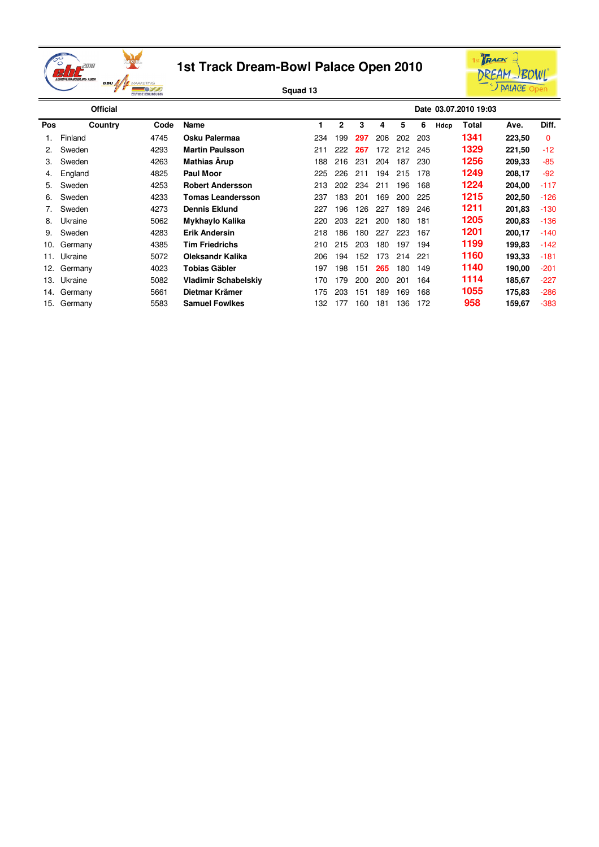



|     | <b>Official</b> |      |                          |     |              |     |     |     |     |      | Date 03.07.2010 19:03 |        |          |
|-----|-----------------|------|--------------------------|-----|--------------|-----|-----|-----|-----|------|-----------------------|--------|----------|
| Pos | Country         | Code | Name                     |     | $\mathbf{2}$ | 3   | 4   | 5   | 6   | Hdcp | Total                 | Ave.   | Diff.    |
|     | Finland         | 4745 | Osku Palermaa            | 234 | 199          | 297 | 206 | 202 | 203 |      | 1341                  | 223,50 | $\Omega$ |
| 2.  | Sweden          | 4293 | <b>Martin Paulsson</b>   | 211 | 222          | 267 | 172 | 212 | 245 |      | 1329                  | 221,50 | $-12$    |
| З.  | Sweden          | 4263 | <b>Mathias Arup</b>      | 188 | 216          | 231 | 204 | 187 | 230 |      | 1256                  | 209,33 | $-85$    |
| 4.  | England         | 4825 | <b>Paul Moor</b>         | 225 | 226          | 211 | 194 | 215 | 178 |      | 1249                  | 208,17 | -92      |
| 5.  | Sweden          | 4253 | <b>Robert Andersson</b>  | 213 | 202          | 234 | 211 | 196 | 168 |      | 1224                  | 204,00 | $-117$   |
| 6.  | Sweden          | 4233 | <b>Tomas Leandersson</b> | 237 | 183          | 201 | 169 | 200 | 225 |      | 1215                  | 202,50 | $-126$   |
|     | Sweden          | 4273 | <b>Dennis Eklund</b>     | 227 | 196          | 126 | 227 | 189 | 246 |      | 1211                  | 201,83 | $-130$   |
| 8.  | Ukraine         | 5062 | Mykhaylo Kalika          | 220 | 203          | 221 | 200 | 180 | 181 |      | 1205                  | 200,83 | -136     |
| 9.  | Sweden          | 4283 | <b>Erik Andersin</b>     | 218 | 186          | 180 | 227 | 223 | 167 |      | 1201                  | 200,17 | $-140$   |
| 10. | Germany         | 4385 | <b>Tim Friedrichs</b>    | 210 | 215          | 203 | 180 | 197 | 194 |      | 1199                  | 199,83 | $-142$   |
| 11. | Ukraine         | 5072 | <b>Oleksandr Kalika</b>  | 206 | 194          | 152 | 173 | 214 | 221 |      | 1160                  | 193,33 | $-181$   |
| 12. | Germany         | 4023 | Tobias Gäbler            | 197 | 198          | 151 | 265 | 180 | 149 |      | 1140                  | 190,00 | $-201$   |
| 13. | Ukraine         | 5082 | Vladimir Schabelskiv     | 170 | 179          | 200 | 200 | 201 | 164 |      | 1114                  | 185,67 | $-227$   |
| 14. | Germany         | 5661 | Dietmar Krämer           | 175 | 203          | 151 | 189 | 169 | 168 |      | 1055                  | 175,83 | $-286$   |
| 15. | Germany         | 5583 | <b>Samuel Fowlkes</b>    | 132 | 177          | 160 | 181 | 136 | 172 |      | 958                   | 159,67 | $-383$   |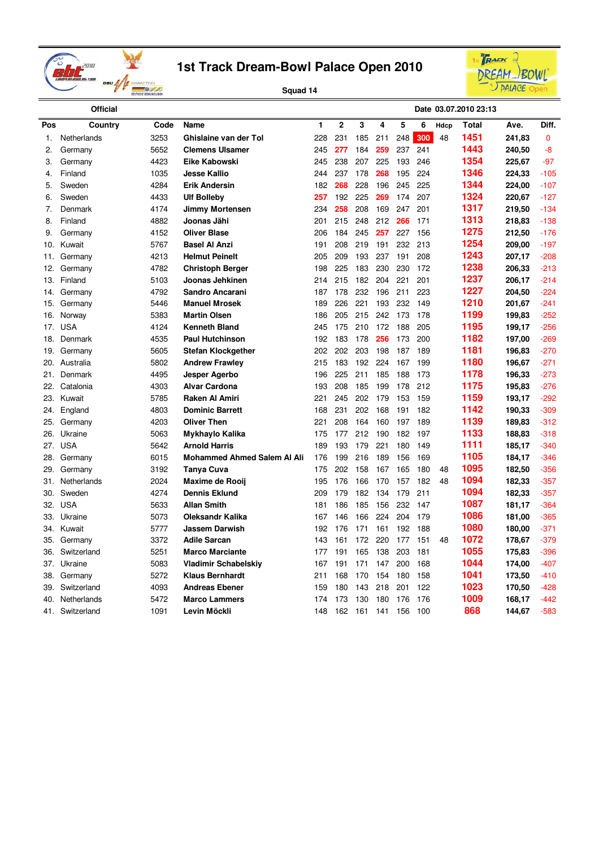



|            | <b>Official</b>       |              |                                         |            |                |            |            |            |            |      | Date 03.07.2010 23:13 |                  |                  |
|------------|-----------------------|--------------|-----------------------------------------|------------|----------------|------------|------------|------------|------------|------|-----------------------|------------------|------------------|
| Pos        | Country               | Code         | Name                                    | 1          | $\overline{2}$ | 3          | 4          | 5          | 6          | Hdcp | <b>Total</b>          | Ave.             | Diff.            |
| 1.         | Netherlands           | 3253         | Ghislaine van der Tol                   | 228        | 231            | 185        | 211        | 248        | 300        | 48   | 1451                  | 241,83           | $\mathbf{0}$     |
| 2.         | Germany               | 5652         | <b>Clemens Ulsamer</b>                  | 245        | 277            | 184        | 259        | 237        | 241        |      | 1443                  | 240,50           | -8               |
| 3.         | Germany               | 4423         | Eike Kabowski                           | 245        | 238            | 207        | 225        | 193        | 246        |      | 1354                  | 225,67           | $-97$            |
| 4.         | Finland               | 1035         | <b>Jesse Kallio</b>                     | 244        | 237            | 178        | 268        | 195        | 224        |      | 1346                  | 224,33           | $-105$           |
| 5.         | Sweden                | 4284         | <b>Erik Andersin</b>                    | 182        | 268            | 228        | 196        | 245        | 225        |      | 1344                  | 224,00           | $-107$           |
| 6.         | Sweden                | 4433         | <b>Ulf Bolleby</b>                      | 257        | 192            | 225        | 269        | 174        | 207        |      | 1324                  | 220,67           | $-127$           |
| 7.         | Denmark               | 4174         | <b>Jimmy Mortensen</b>                  | 234        | 258            | 208        | 169        | 247        | 201        |      | 1317                  | 219,50           | $-134$           |
| 8.         | Finland               | 4882         | Joonas Jähi                             | 201        | 215            | 248        | 212        | 266        | 171        |      | 1313                  | 218,83           | $-138$           |
| 9.         | Germany               | 4152         | <b>Oliver Blase</b>                     | 206        | 184            | 245        | 257        | 227        | 156        |      | 1275                  | 212,50           | $-176$           |
| 10.        | Kuwait                | 5767         | <b>Basel Al Anzi</b>                    | 191        | 208            | 219        | 191        | 232        | 213        |      | 1254                  | 209,00           | $-197$           |
| 11.        | Germany               | 4213         | <b>Helmut Peinelt</b>                   | 205        | 209            | 193        | 237        | 191        | 208        |      | 1243                  | 207,17           | $-208$           |
| 12.        | Germany               | 4782         | <b>Christoph Berger</b>                 | 198        | 225            | 183        | 230        | 230        | 172        |      | 1238                  | 206,33           | $-213$           |
| 13.        | Finland               | 5103         | Joonas Jehkinen                         | 214        | 215            | 182        | 204        | 221        | 201        |      | 1237                  | 206,17           | $-214$           |
| 14.        | Germany               | 4792         | Sandro Ancarani                         | 187        | 178            | 232        | 196        | 211        | 223        |      | 1227                  | 204,50           | $-224$           |
| 15.        | Germany               | 5446         | <b>Manuel Mrosek</b>                    | 189        | 226            | 221        | 193        | 232        | 149        |      | 1210                  | 201,67           | $-241$           |
| 16.        | Norway                | 5383         | <b>Martin Olsen</b>                     | 186        | 205            | 215        | 242        | 173        | 178        |      | 1199                  | 199,83           | $-252$           |
| 17.        | <b>USA</b>            | 4124         | <b>Kenneth Bland</b>                    | 245        | 175            | 210        | 172        | 188        | 205        |      | 1195                  | 199,17           | $-256$           |
| 18.        | Denmark               | 4535         | <b>Paul Hutchinson</b>                  | 192        | 183            | 178        | 256        | 173        | 200        |      | 1182                  | 197,00           | $-269$           |
| 19.        | Germany               | 5605         | <b>Stefan Klockgether</b>               | 202        | 202            | 203        | 198        | 187        | 189        |      | 1181                  | 196,83           | $-270$           |
| 20.        | Australia             | 5802         | <b>Andrew Frawley</b>                   | 215        | 183            | 192        | 224        | 167        | 199        |      | 1180                  | 196,67           | $-271$           |
| 21.        | Denmark               | 4495         | Jesper Agerbo                           | 196        | 225            | 211        | 185        | 188        | 173        |      | 1178                  | 196,33           | $-273$           |
| 22.        | Catalonia             | 4303         | <b>Alvar Cardona</b>                    | 193        | 208            | 185        | 199        | 178        | 212        |      | 1175                  | 195,83           | $-276$           |
| 23.        | Kuwait                | 5785         | <b>Raken Al Amiri</b>                   | 221        | 245            | 202        | 179        | 153        | 159        |      | 1159                  | 193,17           | $-292$           |
| 24.        | England               | 4803         | <b>Dominic Barrett</b>                  | 168        | 231            | 202        | 168        | 191        | 182        |      | 1142<br>1139          | 190,33           | $-309$           |
| 25.        | Germany               | 4203         | <b>Oliver Then</b>                      | 221        | 208            | 164        | 160        | 197        | 189        |      | 1133                  | 189,83           | $-312$           |
| 26.<br>27. | Ukraine<br><b>USA</b> | 5063<br>5642 | Mykhaylo Kalika<br><b>Arnold Harris</b> | 175<br>189 | 177<br>193     | 212<br>179 | 190<br>221 | 182<br>180 | 197<br>149 |      | 1111                  | 188,83           | $-318$<br>$-340$ |
| 28.        | Germany               | 6015         | <b>Mohammed Ahmed Salem AI Ali</b>      | 176        | 199            | 216        | 189        | 156        | 169        |      | 1105                  | 185,17<br>184,17 | -346             |
| 29.        | Germany               | 3192         | <b>Tanya Cuva</b>                       | 175        | 202            | 158        | 167        | 165        | 180        | 48   | 1095                  | 182,50           | $-356$           |
| 31.        | Netherlands           | 2024         | <b>Maxime de Rooij</b>                  | 195        | 176            | 166        | 170        | 157        | 182        | 48   | 1094                  | 182,33           | $-357$           |
| 30.        | Sweden                | 4274         | <b>Dennis Eklund</b>                    | 209        | 179            | 182        | 134        | 179        | 211        |      | 1094                  | 182,33           | $-357$           |
| 32.        | <b>USA</b>            | 5633         | <b>Allan Smith</b>                      | 181        | 186            | 185        | 156        | 232        | 147        |      | 1087                  | 181,17           | $-364$           |
| 33.        | Ukraine               | 5073         | <b>Oleksandr Kalika</b>                 | 167        | 146            | 166        | 224        | 204        | 179        |      | 1086                  | 181,00           | $-365$           |
| 34.        | Kuwait                | 5777         | <b>Jassem Darwish</b>                   | 192        | 176            | 171        | 161        | 192        | 188        |      | 1080                  | 180,00           | $-371$           |
| 35.        | Germany               | 3372         | <b>Adile Sarcan</b>                     | 143        | 161            | 172        | 220        | 177        | 151        | 48   | 1072                  | 178,67           | $-379$           |
| 36.        | Switzerland           | 5251         | <b>Marco Marciante</b>                  | 177        | 191            | 165        | 138        | 203        | 181        |      | 1055                  | 175,83           | $-396$           |
| 37.        | Ukraine               | 5083         | Vladimir Schabelskiy                    | 167        | 191            | 171        | 147        | 200        | 168        |      | 1044                  | 174,00           | $-407$           |
| 38.        | Germany               | 5272         | <b>Klaus Bernhardt</b>                  | 211        | 168            | 170        | 154        | 180        | 158        |      | 1041                  | 173,50           | $-410$           |
| 39.        | Switzerland           | 4093         | <b>Andreas Ebener</b>                   | 159        | 180            | 143        | 218        | 201        | 122        |      | 1023                  | 170,50           | $-428$           |
| 40.        | Netherlands           | 5472         | <b>Marco Lammers</b>                    | 174        | 173            | 130        | 180        | 176        | 176        |      | 1009                  | 168,17           | $-442$           |
| 41.        | Switzerland           | 1091         | Levin Möckli                            | 148        | 162            | 161        | 141        | 156        | 100        |      | 868                   | 144,67           | $-583$           |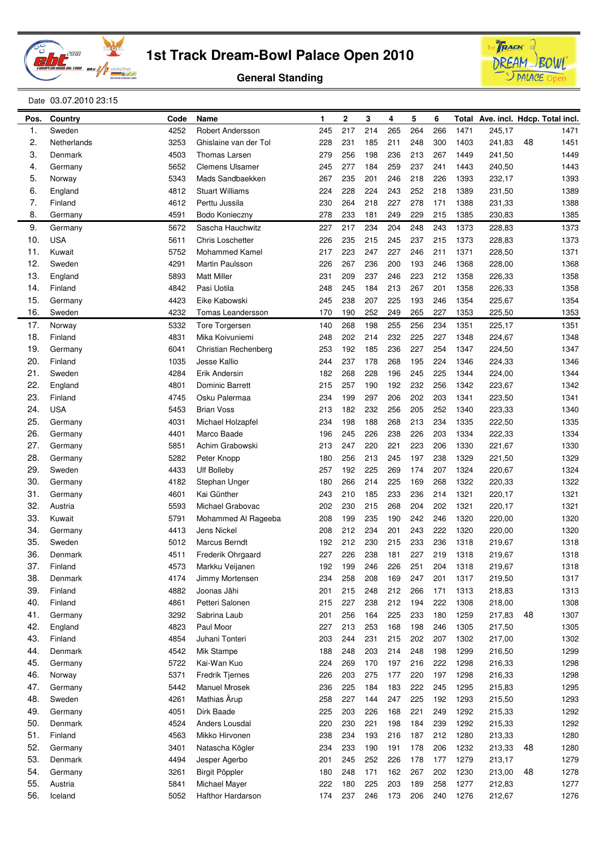





#### Date 03.07.2010 23:15

| Pos.       | Country            | Code         | Name                             | 1          | $\mathbf 2$ | 3          | 4          | 5          | 6          |              |        |    | Total Ave. incl. Hdcp. Total incl. |
|------------|--------------------|--------------|----------------------------------|------------|-------------|------------|------------|------------|------------|--------------|--------|----|------------------------------------|
| 1.         | Sweden             | 4252         | Robert Andersson                 | 245        | 217         | 214        | 265        | 264        | 266        | 1471         | 245,17 |    | 1471                               |
| 2.         | Netherlands        | 3253         | Ghislaine van der Tol            | 228        | 231         | 185        | 211        | 248        | 300        | 1403         | 241,83 | 48 | 1451                               |
| 3.         | Denmark            | 4503         | <b>Thomas Larsen</b>             | 279        | 256         | 198        | 236        | 213        | 267        | 1449         | 241,50 |    | 1449                               |
| 4.         | Germany            | 5652         | <b>Clemens Ulsamer</b>           | 245        | 277         | 184        | 259        | 237        | 241        | 1443         | 240,50 |    | 1443                               |
| 5.         | Norway             | 5343         | Mads Sandbaekken                 | 267        | 235         | 201        | 246        | 218        | 226        | 1393         | 232,17 |    | 1393                               |
| 6.         | England            | 4812         | <b>Stuart Williams</b>           | 224        | 228         | 224        | 243        | 252        | 218        | 1389         | 231,50 |    | 1389                               |
| 7.         | Finland            | 4612         | Perttu Jussila                   | 230        | 264         | 218        | 227        | 278        | 171        | 1388         | 231,33 |    | 1388                               |
| 8.         | Germany            | 4591         | Bodo Konieczny                   | 278        | 233         | 181        | 249        | 229        | 215        | 1385         | 230,83 |    | 1385                               |
| 9.         | Germany            | 5672         | Sascha Hauchwitz                 | 227        | 217         | 234        | 204        | 248        | 243        | 1373         | 228,83 |    | 1373                               |
| 10.        | <b>USA</b>         | 5611         | <b>Chris Loschetter</b>          | 226        | 235         | 215        | 245        | 237        | 215        | 1373         | 228,83 |    | 1373                               |
| 11.        | Kuwait             | 5752         | <b>Mohammed Kamel</b>            | 217        | 223         | 247        | 227        | 246        | 211        | 1371         | 228,50 |    | 1371                               |
| 12.        | Sweden             | 4291         | Martin Paulsson                  | 226        | 267         | 236        | 200        | 193        | 246        | 1368         | 228,00 |    | 1368                               |
| 13.        | England            | 5893         | <b>Matt Miller</b>               | 231        | 209         | 237        | 246        | 223        | 212        | 1358         | 226,33 |    | 1358                               |
| 14.        | Finland            | 4842         | Pasi Uotila                      | 248        | 245         | 184        | 213        | 267        | 201        | 1358         | 226,33 |    | 1358                               |
| 15.        | Germany            | 4423         | Eike Kabowski                    | 245        | 238         | 207        | 225        | 193        | 246        | 1354         | 225,67 |    | 1354                               |
| 16.        | Sweden             | 4232         | <b>Tomas Leandersson</b>         | 170        | 190         | 252        | 249        | 265        | 227        | 1353         | 225,50 |    | 1353                               |
| 17.        | Norway             | 5332         | <b>Tore Torgersen</b>            | 140        | 268         | 198        | 255        | 256        | 234        | 1351         | 225,17 |    | 1351                               |
| 18.        | Finland            | 4831         | Mika Koivuniemi                  | 248        | 202         | 214        | 232        | 225        | 227        | 1348         | 224,67 |    | 1348                               |
| 19.        | Germany            | 6041         | Christian Rechenberg             | 253        | 192         | 185        | 236        | 227        | 254        | 1347         | 224,50 |    | 1347                               |
| 20.        | Finland            | 1035         | <b>Jesse Kallio</b>              | 244        | 237         | 178        | 268        | 195        | 224        | 1346         | 224,33 |    | 1346                               |
| 21.        | Sweden             | 4284         | Erik Andersin                    | 182        | 268         | 228        | 196        | 245        | 225        | 1344         | 224,00 |    | 1344                               |
| 22.        | England            | 4801         | <b>Dominic Barrett</b>           | 215        | 257         | 190        | 192        | 232        | 256        | 1342         | 223,67 |    | 1342                               |
| 23.        | Finland            | 4745         | Osku Palermaa                    | 234        | 199         | 297        | 206        | 202        | 203        | 1341         | 223,50 |    | 1341                               |
| 24.        | <b>USA</b>         | 5453         | <b>Brian Voss</b>                | 213        | 182         | 232        | 256        | 205        | 252        | 1340         | 223,33 |    | 1340                               |
| 25.        | Germany            | 4031         | Michael Holzapfel                | 234        | 198         | 188        | 268        | 213        | 234        | 1335         | 222,50 |    | 1335                               |
| 26.        | Germany            | 4401         | Marco Baade                      | 196        | 245         | 226        | 238        | 226        | 203        | 1334         | 222,33 |    | 1334                               |
| 27.        | Germany            | 5851         | Achim Grabowski                  | 213        | 247         | 220        | 221        | 223        | 206        | 1330         | 221,67 |    | 1330                               |
| 28.        | Germany            | 5282         | Peter Knopp                      | 180        | 256         | 213        | 245        | 197        | 238        | 1329         | 221,50 |    | 1329                               |
| 29.        | Sweden             | 4433         | <b>Ulf Bolleby</b>               | 257        | 192         | 225        | 269        | 174        | 207        | 1324         | 220,67 |    | 1324                               |
| 30.        | Germany            | 4182         | Stephan Unger                    | 180        | 266         | 214        | 225        | 169        | 268        | 1322         | 220,33 |    | 1322                               |
| 31.        | Germany            | 4601         | Kai Günther                      | 243        | 210         | 185        | 233        | 236        | 214        | 1321         | 220,17 |    | 1321                               |
| 32.        | Austria            | 5593         | Michael Grabovac                 | 202        | 230         | 215        | 268        | 204        | 202        | 1321         | 220,17 |    | 1321                               |
| 33.        | Kuwait             | 5791         | Mohammed Al Rageeba              | 208        | 199         | 235        | 190        | 242        | 246        | 1320         | 220,00 |    | 1320                               |
| 34.        | Germany            | 4413         | <b>Jens Nickel</b>               | 208        | 212         | 234        | 201        | 243        | 222        | 1320         | 220,00 |    | 1320                               |
| 35.        | Sweden             | 5012         | Marcus Berndt                    | 192        | 212         | 230        | 215        | 233        | 236        | 1318         | 219,67 |    | 1318                               |
| 36.        | Denmark            | 4511         | Frederik Ohrgaard                | 227        | 226         | 238        | 181        | 227        | 219        | 1318         | 219,67 |    | 1318                               |
| 37.        | Finland            | 4573         | Markku Veijanen                  | 192        | 199         | 246        | 226        | 251        | 204        | 1318         | 219,67 |    | 1318                               |
| 38.        | Denmark            | 4174         | Jimmy Mortensen                  | 234        | 258         | 208        | 169        | 247        | 201        | 1317         | 219,50 |    | 1317                               |
| 39.        | Finland            | 4882         | Joonas Jähi                      | 201        | 215         | 248        | 212        | 266        | 171        | 1313         | 218,83 |    | 1313                               |
| 40.        | Finland            | 4861         | Petteri Salonen                  | 215        | 227         | 238        | 212        | 194        | 222        | 1308         | 218,00 |    | 1308                               |
| 41.        | Germany            | 3292         | Sabrina Laub                     | 201        | 256         | 164        | 225        | 233        | 180        | 1259         | 217,83 | 48 | 1307                               |
| 42.        | England            | 4823         | Paul Moor                        | 227        | 213         | 253        | 168        | 198        | 246        | 1305         | 217,50 |    | 1305                               |
| 43.        | Finland            | 4854         | Juhani Tonteri                   | 203        | 244         | 231        | 215        | 202        | 207        | 1302         | 217,00 |    | 1302                               |
| 44.        | Denmark            | 4542         | Mik Stampe                       | 188        | 248         | 203        | 214        | 248        | 198        | 1299         | 216,50 |    | 1299                               |
| 45.        | Germany            | 5722         | Kai-Wan Kuo                      | 224        | 269         | 170        | 197        | 216        | 222        | 1298         | 216,33 |    | 1298                               |
| 46.        | Norway             | 5371         | Fredrik Tjernes                  | 226        | 203         | 275        | 177        | 220        | 197        | 1298         | 216,33 |    | 1298                               |
| 47.        |                    | 5442         | Manuel Mrosek                    | 236        | 225         | 184        | 183        | 222        | 245        | 1295         |        |    |                                    |
| 48.        | Germany<br>Sweden  | 4261         | Mathias Ärup                     |            |             | 144        | 247        |            | 192        |              | 215,83 |    | 1295                               |
| 49.        |                    | 4051         | Dirk Baade                       | 258<br>225 | 227         | 226        | 168        | 225<br>221 | 249        | 1293<br>1292 | 215,50 |    | 1293                               |
|            | Germany            |              |                                  |            | 203         |            |            |            |            |              | 215,33 |    | 1292                               |
| 50.<br>51. | Denmark<br>Finland | 4524<br>4563 | Anders Lousdal<br>Mikko Hirvonen | 220<br>238 | 230<br>234  | 221<br>193 | 198<br>216 | 184        | 239<br>212 | 1292<br>1280 | 215,33 |    | 1292                               |
| 52.        |                    | 3401         |                                  | 234        |             | 190        | 191        | 187<br>178 | 206        | 1232         | 213,33 | 48 | 1280                               |
| 53.        | Germany<br>Denmark | 4494         | Natascha Kögler                  |            | 233<br>245  | 252        | 226        | 178        | 177        | 1279         | 213,33 |    | 1280                               |
| 54.        |                    | 3261         | Jesper Agerbo                    | 201        | 248         | 171        |            |            | 202        |              | 213,17 | 48 | 1279                               |
| 55.        | Germany            | 5841         | <b>Birgit Pöppler</b>            | 180<br>222 | 180         | 225        | 162<br>203 | 267<br>189 | 258        | 1230<br>1277 | 213,00 |    | 1278<br>1277                       |
|            | Austria            |              | Michael Mayer                    |            |             |            |            |            |            |              | 212,83 |    |                                    |
| 56.        | Iceland            | 5052         | Hafthor Hardarson                | 174        | 237         | 246        | 173        | 206        | 240        | 1276         | 212,67 |    | 1276                               |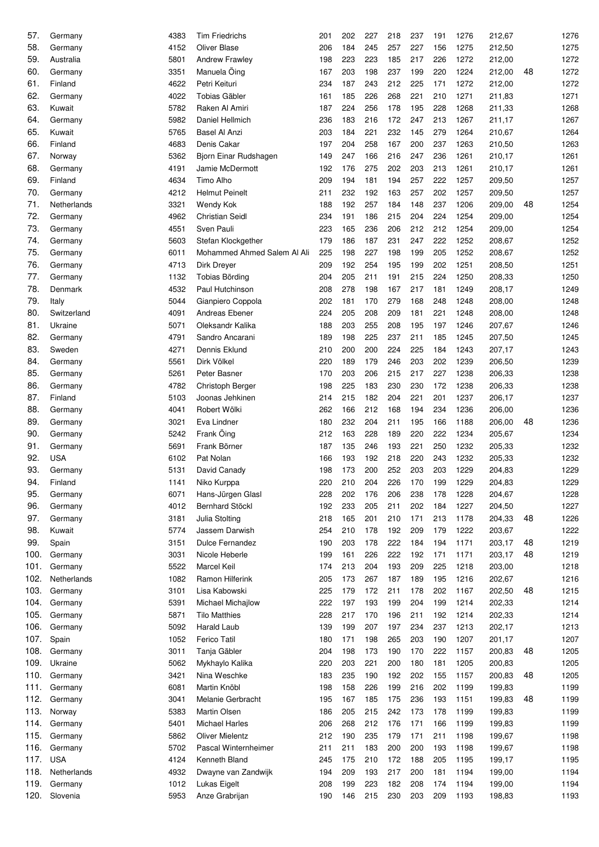| 57.  | Germany     | 4383 | <b>Tim Friedrichs</b>       | 201 | 202 | 227 | 218 | 237 | 191 | 1276 | 212,67 |    | 1276 |
|------|-------------|------|-----------------------------|-----|-----|-----|-----|-----|-----|------|--------|----|------|
| 58.  | Germany     | 4152 | <b>Oliver Blase</b>         | 206 | 184 | 245 | 257 | 227 | 156 | 1275 | 212,50 |    | 1275 |
| 59.  | Australia   | 5801 | <b>Andrew Frawley</b>       | 198 | 223 | 223 | 185 | 217 | 226 | 1272 | 212,00 |    | 1272 |
| 60.  | Germany     | 3351 | Manuela Öing                | 167 | 203 | 198 | 237 | 199 | 220 | 1224 | 212,00 | 48 | 1272 |
| 61.  | Finland     | 4622 | Petri Keituri               | 234 | 187 | 243 | 212 | 225 | 171 | 1272 | 212,00 |    | 1272 |
| 62.  | Germany     | 4022 | <b>Tobias Gäbler</b>        | 161 | 185 | 226 | 268 | 221 | 210 | 1271 | 211,83 |    | 1271 |
| 63.  | Kuwait      | 5782 | Raken Al Amiri              | 187 | 224 | 256 | 178 | 195 | 228 | 1268 | 211,33 |    | 1268 |
| 64.  | Germany     | 5982 | Daniel Hellmich             | 236 | 183 | 216 | 172 | 247 | 213 | 1267 | 211,17 |    | 1267 |
| 65.  | Kuwait      | 5765 | <b>Basel Al Anzi</b>        | 203 | 184 | 221 | 232 | 145 | 279 | 1264 | 210,67 |    | 1264 |
| 66.  | Finland     | 4683 | Denis Cakar                 | 197 | 204 | 258 | 167 | 200 | 237 | 1263 | 210,50 |    | 1263 |
| 67.  | Norway      | 5362 | Bjorn Einar Rudshagen       | 149 | 247 | 166 | 216 | 247 | 236 | 1261 | 210,17 |    | 1261 |
| 68.  | Germany     | 4191 | Jamie McDermott             | 192 | 176 | 275 | 202 | 203 | 213 | 1261 | 210,17 |    | 1261 |
| 69.  | Finland     | 4634 | Timo Alho                   | 209 | 194 | 181 | 194 | 257 | 222 | 1257 | 209,50 |    | 1257 |
| 70.  | Germany     | 4212 | <b>Helmut Peinelt</b>       | 211 | 232 | 192 | 163 | 257 | 202 | 1257 | 209,50 |    | 1257 |
| 71.  | Netherlands | 3321 | Wendy Kok                   | 188 | 192 | 257 | 184 | 148 | 237 | 1206 | 209,00 | 48 | 1254 |
| 72.  | Germany     | 4962 | <b>Christian Seidl</b>      | 234 | 191 | 186 | 215 | 204 | 224 | 1254 | 209,00 |    | 1254 |
| 73.  | Germany     | 4551 | Sven Pauli                  | 223 | 165 | 236 | 206 | 212 | 212 | 1254 | 209,00 |    | 1254 |
| 74.  | Germany     | 5603 | Stefan Klockgether          | 179 | 186 | 187 | 231 | 247 | 222 | 1252 | 208,67 |    | 1252 |
| 75.  | Germany     | 6011 | Mohammed Ahmed Salem Al Ali | 225 | 198 | 227 | 198 | 199 | 205 | 1252 | 208,67 |    | 1252 |
| 76.  | Germany     | 4713 | Dirk Dreyer                 | 209 | 192 | 254 | 195 | 199 | 202 | 1251 | 208,50 |    | 1251 |
| 77.  | Germany     | 1132 | Tobias Börding              | 204 | 205 | 211 | 191 | 215 | 224 | 1250 | 208,33 |    | 1250 |
| 78.  | Denmark     | 4532 | Paul Hutchinson             | 208 | 278 | 198 | 167 | 217 | 181 | 1249 | 208,17 |    | 1249 |
| 79.  |             | 5044 |                             | 202 | 181 | 170 | 279 | 168 | 248 | 1248 | 208,00 |    | 1248 |
| 80.  | Italy       |      | Gianpiero Coppola           |     |     |     |     |     |     |      |        |    | 1248 |
|      | Switzerland | 4091 | Andreas Ebener              | 224 | 205 | 208 | 209 | 181 | 221 | 1248 | 208,00 |    |      |
| 81.  | Ukraine     | 5071 | Oleksandr Kalika            | 188 | 203 | 255 | 208 | 195 | 197 | 1246 | 207,67 |    | 1246 |
| 82.  | Germany     | 4791 | Sandro Ancarani             | 189 | 198 | 225 | 237 | 211 | 185 | 1245 | 207,50 |    | 1245 |
| 83.  | Sweden      | 4271 | Dennis Eklund               | 210 | 200 | 200 | 224 | 225 | 184 | 1243 | 207,17 |    | 1243 |
| 84.  | Germany     | 5561 | Dirk Völkel                 | 220 | 189 | 179 | 246 | 203 | 202 | 1239 | 206,50 |    | 1239 |
| 85.  | Germany     | 5261 | Peter Basner                | 170 | 203 | 206 | 215 | 217 | 227 | 1238 | 206,33 |    | 1238 |
| 86.  | Germany     | 4782 | Christoph Berger            | 198 | 225 | 183 | 230 | 230 | 172 | 1238 | 206,33 |    | 1238 |
| 87.  | Finland     | 5103 | Joonas Jehkinen             | 214 | 215 | 182 | 204 | 221 | 201 | 1237 | 206,17 |    | 1237 |
| 88.  | Germany     | 4041 | Robert Wölki                | 262 | 166 | 212 | 168 | 194 | 234 | 1236 | 206,00 |    | 1236 |
| 89.  | Germany     | 3021 | Eva Lindner                 | 180 | 232 | 204 | 211 | 195 | 166 | 1188 | 206,00 | 48 | 1236 |
| 90.  | Germany     | 5242 | Frank Öing                  | 212 | 163 | 228 | 189 | 220 | 222 | 1234 | 205,67 |    | 1234 |
| 91.  | Germany     | 5691 | Frank Börner                | 187 | 135 | 246 | 193 | 221 | 250 | 1232 | 205,33 |    | 1232 |
| 92.  | <b>USA</b>  | 6102 | Pat Nolan                   | 166 | 193 | 192 | 218 | 220 | 243 | 1232 | 205,33 |    | 1232 |
| 93.  | Germany     | 5131 | David Canady                | 198 | 173 | 200 | 252 | 203 | 203 | 1229 | 204,83 |    | 1229 |
| 94.  | Finland     | 1141 | Niko Kurppa                 | 220 | 210 | 204 | 226 | 170 | 199 | 1229 | 204,83 |    | 1229 |
| 95.  | Germany     | 6071 | Hans-Jürgen Glasl           | 228 | 202 | 176 | 206 | 238 | 178 | 1228 | 204,67 |    | 1228 |
| 96.  | Germany     | 4012 | <b>Bernhard Stöckl</b>      | 192 | 233 | 205 | 211 | 202 | 184 | 1227 | 204,50 |    | 1227 |
| 97.  | Germany     | 3181 | Julia Stolting              | 218 | 165 | 201 | 210 | 171 | 213 | 1178 | 204,33 | 48 | 1226 |
| 98.  | Kuwait      | 5774 | Jassem Darwish              | 254 | 210 | 178 | 192 | 209 | 179 | 1222 | 203,67 |    | 1222 |
| 99.  | Spain       | 3151 | <b>Dulce Fernandez</b>      | 190 | 203 | 178 | 222 | 184 | 194 | 1171 | 203,17 | 48 | 1219 |
| 100. | Germany     | 3031 | Nicole Heberle              | 199 | 161 | 226 | 222 | 192 | 171 | 1171 | 203,17 | 48 | 1219 |
| 101. | Germany     | 5522 | <b>Marcel Keil</b>          | 174 | 213 | 204 | 193 | 209 | 225 | 1218 | 203,00 |    | 1218 |
| 102. | Netherlands | 1082 | Ramon Hilferink             | 205 | 173 | 267 | 187 | 189 | 195 | 1216 | 202,67 |    | 1216 |
| 103. | Germany     | 3101 | Lisa Kabowski               | 225 | 179 | 172 | 211 | 178 | 202 | 1167 | 202,50 | 48 | 1215 |
| 104. | Germany     | 5391 | <b>Michael Michajlow</b>    | 222 | 197 | 193 | 199 | 204 | 199 | 1214 | 202,33 |    | 1214 |
| 105. | Germany     | 5871 | <b>Tilo Matthies</b>        | 228 | 217 | 170 | 196 | 211 | 192 | 1214 | 202,33 |    | 1214 |
| 106. | Germany     | 5092 | Harald Laub                 | 139 | 199 | 207 | 197 | 234 | 237 | 1213 | 202,17 |    | 1213 |
| 107. | Spain       | 1052 | <b>Ferico Tatil</b>         | 180 | 171 | 198 | 265 | 203 | 190 | 1207 | 201,17 |    | 1207 |
| 108. | Germany     | 3011 | Tanja Gäbler                | 204 | 198 | 173 | 190 | 170 | 222 | 1157 | 200,83 | 48 | 1205 |
| 109. | Ukraine     | 5062 | Mykhaylo Kalika             | 220 | 203 | 221 | 200 | 180 | 181 | 1205 | 200,83 |    | 1205 |
| 110. | Germany     | 3421 | Nina Weschke                | 183 | 235 | 190 | 192 | 202 | 155 | 1157 | 200,83 | 48 | 1205 |
| 111. | Germany     | 6081 | Martin Knöbl                | 198 | 158 | 226 | 199 | 216 | 202 | 1199 | 199,83 |    | 1199 |
| 112. | Germany     | 3041 | Melanie Gerbracht           | 195 | 167 | 185 | 175 | 236 | 193 | 1151 | 199,83 | 48 | 1199 |
| 113. | Norway      | 5383 | Martin Olsen                | 186 | 205 | 215 | 242 | 173 | 178 | 1199 | 199,83 |    | 1199 |
| 114. | Germany     | 5401 | <b>Michael Harles</b>       | 206 | 268 | 212 | 176 | 171 | 166 | 1199 | 199,83 |    | 1199 |
| 115. | Germany     | 5862 | <b>Oliver Mielentz</b>      | 212 | 190 | 235 | 179 | 171 | 211 | 1198 | 199,67 |    | 1198 |
| 116. | Germany     | 5702 | Pascal Winternheimer        | 211 | 211 | 183 | 200 | 200 | 193 | 1198 | 199,67 |    | 1198 |
| 117. | <b>USA</b>  | 4124 | Kenneth Bland               | 245 | 175 | 210 | 172 | 188 | 205 | 1195 | 199,17 |    | 1195 |
| 118. | Netherlands | 4932 | Dwayne van Zandwijk         | 194 | 209 | 193 | 217 | 200 | 181 | 1194 | 199,00 |    | 1194 |
| 119. | Germany     | 1012 | Lukas Eigelt                | 208 | 199 | 223 | 182 | 208 | 174 | 1194 | 199,00 |    | 1194 |
| 120. | Slovenia    | 5953 | Anze Grabrijan              | 190 | 146 | 215 | 230 | 203 | 209 | 1193 | 198,83 |    | 1193 |
|      |             |      |                             |     |     |     |     |     |     |      |        |    |      |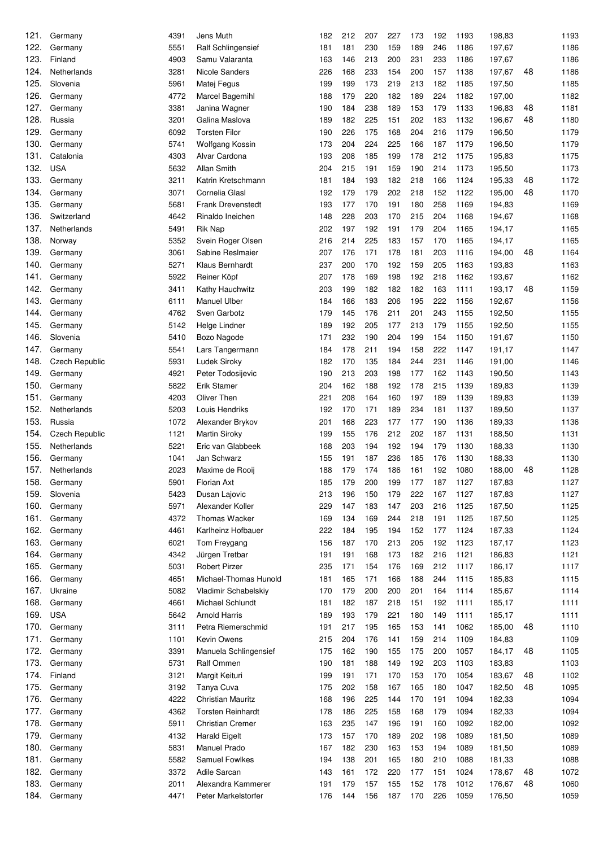| 121. | Germany               | 4391 | Jens Muth                 | 182 | 212 | 207 | 227 | 173 | 192 | 1193 | 198,83 |    | 1193 |
|------|-----------------------|------|---------------------------|-----|-----|-----|-----|-----|-----|------|--------|----|------|
| 122. | Germany               | 5551 | <b>Ralf Schlingensief</b> | 181 | 181 | 230 | 159 | 189 | 246 | 1186 | 197,67 |    | 1186 |
| 123. | Finland               | 4903 | Samu Valaranta            | 163 | 146 | 213 | 200 | 231 | 233 | 1186 | 197,67 |    | 1186 |
| 124. | Netherlands           | 3281 | Nicole Sanders            | 226 | 168 | 233 | 154 | 200 | 157 | 1138 | 197,67 | 48 | 1186 |
| 125. | Slovenia              | 5961 | Matej Fegus               | 199 | 199 | 173 | 219 | 213 | 182 | 1185 | 197,50 |    | 1185 |
| 126. | Germany               | 4772 | Marcel Bagemihl           | 188 | 179 | 220 | 182 | 189 | 224 | 1182 | 197,00 |    | 1182 |
| 127. | Germany               | 3381 | Janina Wagner             | 190 | 184 | 238 | 189 | 153 | 179 | 1133 | 196,83 | 48 | 1181 |
| 128. | Russia                | 3201 | Galina Maslova            | 189 | 182 | 225 | 151 | 202 | 183 | 1132 | 196,67 | 48 | 1180 |
| 129. | Germany               | 6092 | <b>Torsten Filor</b>      | 190 | 226 | 175 | 168 | 204 | 216 | 1179 | 196,50 |    | 1179 |
| 130. | Germany               | 5741 | <b>Wolfgang Kossin</b>    | 173 | 204 | 224 | 225 | 166 | 187 | 1179 | 196,50 |    | 1179 |
| 131. | Catalonia             | 4303 | Alvar Cardona             | 193 | 208 | 185 | 199 | 178 | 212 | 1175 | 195,83 |    | 1175 |
| 132. | <b>USA</b>            | 5632 | Allan Smith               | 204 | 215 | 191 | 159 | 190 | 214 | 1173 | 195,50 |    | 1173 |
| 133. | Germany               | 3211 | Katrin Kretschmann        | 181 | 184 | 193 | 182 | 218 | 166 | 1124 | 195,33 | 48 | 1172 |
| 134. | Germany               | 3071 | Cornelia Glasl            | 192 | 179 | 179 | 202 | 218 | 152 | 1122 | 195,00 | 48 | 1170 |
| 135. | Germany               | 5681 | <b>Frank Drevenstedt</b>  | 193 | 177 | 170 | 191 | 180 | 258 | 1169 | 194,83 |    | 1169 |
| 136. | Switzerland           | 4642 | Rinaldo Ineichen          | 148 | 228 | 203 | 170 | 215 | 204 | 1168 | 194,67 |    | 1168 |
| 137. | Netherlands           | 5491 | <b>Rik Nap</b>            | 202 | 197 | 192 | 191 | 179 | 204 | 1165 | 194,17 |    | 1165 |
| 138. | Norway                | 5352 | Svein Roger Olsen         | 216 | 214 | 225 | 183 | 157 | 170 | 1165 | 194,17 |    | 1165 |
| 139. | Germany               | 3061 | Sabine Reslmaier          | 207 | 176 | 171 | 178 | 181 | 203 | 1116 | 194,00 | 48 | 1164 |
| 140. | Germany               | 5271 | Klaus Bernhardt           | 237 | 200 | 170 | 192 | 159 | 205 | 1163 | 193,83 |    | 1163 |
| 141. | Germany               | 5922 | Reiner Köpf               | 207 | 178 | 169 | 198 | 192 | 218 | 1162 | 193,67 |    | 1162 |
| 142. | Germany               | 3411 | Kathy Hauchwitz           | 203 | 199 | 182 | 182 | 182 | 163 | 1111 | 193,17 | 48 | 1159 |
| 143. | Germany               | 6111 | <b>Manuel Ulber</b>       | 184 | 166 | 183 | 206 | 195 | 222 | 1156 | 192,67 |    | 1156 |
| 144. | Germany               | 4762 | Sven Garbotz              | 179 | 145 | 176 | 211 | 201 | 243 | 1155 | 192,50 |    | 1155 |
| 145. | Germany               | 5142 | Helge Lindner             | 189 | 192 | 205 | 177 | 213 | 179 | 1155 | 192,50 |    | 1155 |
| 146. | Slovenia              | 5410 | Bozo Nagode               | 171 | 232 | 190 | 204 | 199 | 154 | 1150 | 191,67 |    | 1150 |
| 147. | Germany               | 5541 | Lars Tangermann           | 184 | 178 | 211 | 194 | 158 | 222 | 1147 | 191,17 |    | 1147 |
| 148. | Czech Republic        | 5931 | Ludek Siroky              | 182 | 170 | 135 | 184 | 244 | 231 | 1146 | 191,00 |    | 1146 |
| 149. | Germany               | 4921 | Peter Todosijevic         | 190 | 213 | 203 | 198 | 177 | 162 | 1143 | 190,50 |    | 1143 |
| 150. | Germany               | 5822 | Erik Stamer               | 204 | 162 | 188 | 192 | 178 | 215 | 1139 | 189,83 |    | 1139 |
| 151. | Germany               | 4203 | Oliver Then               | 221 | 208 | 164 | 160 | 197 | 189 | 1139 | 189,83 |    | 1139 |
| 152. | Netherlands           | 5203 | Louis Hendriks            | 192 | 170 | 171 | 189 | 234 | 181 | 1137 | 189,50 |    | 1137 |
| 153. | Russia                | 1072 | Alexander Brykov          | 201 | 168 | 223 | 177 | 177 | 190 | 1136 | 189,33 |    | 1136 |
| 154. | <b>Czech Republic</b> | 1121 | <b>Martin Siroky</b>      | 199 | 155 | 176 | 212 | 202 | 187 | 1131 | 188,50 |    | 1131 |
| 155. | Netherlands           | 5221 | Eric van Glabbeek         | 168 | 203 | 194 | 192 | 194 | 179 | 1130 | 188,33 |    | 1130 |
| 156. | Germany               | 1041 | Jan Schwarz               | 155 | 191 | 187 | 236 | 185 | 176 | 1130 | 188,33 |    | 1130 |
| 157. | Netherlands           | 2023 | Maxime de Rooij           | 188 | 179 | 174 | 186 | 161 | 192 | 1080 | 188,00 | 48 | 1128 |
| 158. | Germany               | 5901 | Florian Axt               | 185 | 179 | 200 | 199 | 177 | 187 | 1127 | 187,83 |    | 1127 |
| 159. | Slovenia              | 5423 | Dusan Lajovic             | 213 | 196 | 150 | 179 | 222 | 167 | 1127 | 187,83 |    | 1127 |
| 160. | Germany               | 5971 | Alexander Koller          | 229 | 147 | 183 | 147 | 203 | 216 | 1125 | 187,50 |    | 1125 |
| 161. | Germany               | 4372 | <b>Thomas Wacker</b>      | 169 | 134 | 169 | 244 | 218 | 191 | 1125 | 187,50 |    | 1125 |
| 162. | Germany               | 4461 | Karlheinz Hofbauer        | 222 | 184 | 195 | 194 | 152 | 177 | 1124 | 187,33 |    | 1124 |
| 163. | Germany               | 6021 | Tom Freygang              | 156 | 187 | 170 | 213 | 205 | 192 | 1123 | 187,17 |    | 1123 |
| 164. | Germany               | 4342 | Jürgen Tretbar            | 191 | 191 | 168 | 173 | 182 | 216 | 1121 | 186,83 |    | 1121 |
| 165. | Germany               | 5031 | <b>Robert Pirzer</b>      | 235 | 171 | 154 | 176 | 169 | 212 | 1117 | 186,17 |    | 1117 |
| 166. | Germany               | 4651 | Michael-Thomas Hunold     | 181 | 165 | 171 | 166 | 188 | 244 | 1115 | 185,83 |    | 1115 |
| 167. | Ukraine               | 5082 | Vladimir Schabelskiy      | 170 | 179 | 200 | 200 | 201 | 164 | 1114 | 185,67 |    | 1114 |
| 168. | Germany               | 4661 | Michael Schlundt          | 181 | 182 | 187 | 218 | 151 | 192 | 1111 | 185,17 |    | 1111 |
| 169. | <b>USA</b>            | 5642 | <b>Arnold Harris</b>      | 189 | 193 | 179 | 221 | 180 | 149 | 1111 | 185,17 |    | 1111 |
| 170. | Germany               | 3111 | Petra Riemerschmid        | 191 | 217 | 195 | 165 | 153 | 141 | 1062 | 185,00 | 48 | 1110 |
| 171. | Germany               | 1101 | Kevin Owens               | 215 | 204 | 176 | 141 | 159 | 214 | 1109 | 184,83 |    | 1109 |
| 172. | Germany               | 3391 | Manuela Schlingensief     | 175 | 162 | 190 | 155 | 175 | 200 | 1057 | 184,17 | 48 | 1105 |
| 173. | Germany               | 5731 | Ralf Ommen                | 190 | 181 | 188 | 149 | 192 | 203 | 1103 | 183,83 |    | 1103 |
| 174. | Finland               | 3121 | Margit Keituri            | 199 | 191 | 171 | 170 | 153 | 170 | 1054 | 183,67 | 48 | 1102 |
| 175. | Germany               | 3192 | Tanya Cuva                | 175 | 202 | 158 | 167 | 165 | 180 | 1047 | 182,50 | 48 | 1095 |
| 176. | Germany               | 4222 | Christian Mauritz         | 168 | 196 | 225 | 144 | 170 | 191 | 1094 | 182,33 |    | 1094 |
| 177. | Germany               | 4362 | <b>Torsten Reinhardt</b>  | 178 | 186 | 225 | 158 | 168 | 179 | 1094 | 182,33 |    | 1094 |
| 178. | Germany               | 5911 | <b>Christian Cremer</b>   | 163 | 235 | 147 | 196 | 191 | 160 | 1092 | 182,00 |    | 1092 |
| 179. | Germany               | 4132 | <b>Harald Eigelt</b>      | 173 | 157 | 170 | 189 | 202 | 198 | 1089 | 181,50 |    | 1089 |
| 180. | Germany               | 5831 | Manuel Prado              | 167 | 182 | 230 | 163 | 153 | 194 | 1089 | 181,50 |    | 1089 |
| 181. | Germany               | 5582 | Samuel Fowlkes            | 194 | 138 | 201 | 165 | 180 | 210 | 1088 | 181,33 |    | 1088 |
| 182. | Germany               | 3372 | Adile Sarcan              | 143 | 161 | 172 | 220 | 177 | 151 | 1024 | 178,67 | 48 | 1072 |
| 183. | Germany               | 2011 | Alexandra Kammerer        | 191 | 179 | 157 | 155 | 152 | 178 | 1012 | 176,67 | 48 | 1060 |
| 184. | Germany               | 4471 | Peter Markelstorfer       | 176 | 144 | 156 | 187 | 170 | 226 | 1059 | 176,50 |    | 1059 |
|      |                       |      |                           |     |     |     |     |     |     |      |        |    |      |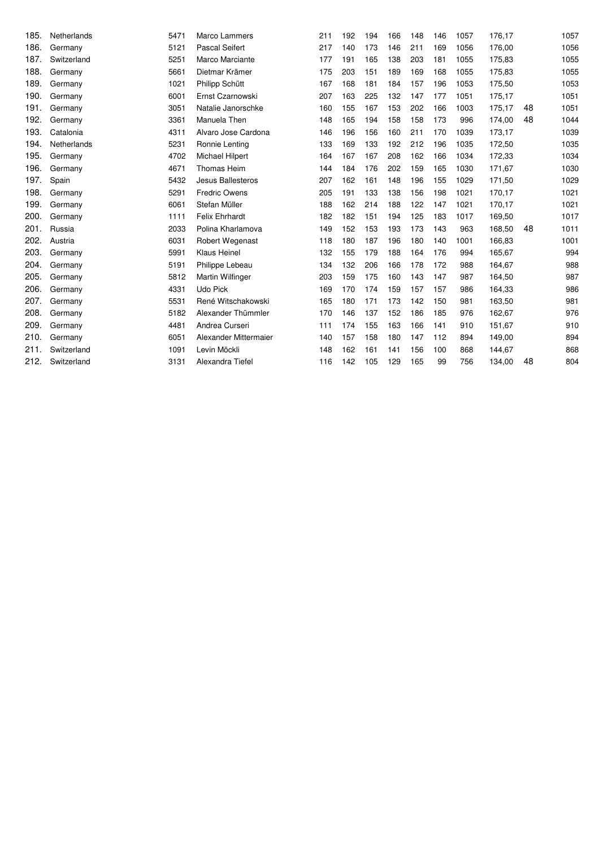| 185. | Netherlands | 5471 | <b>Marco Lammers</b>    | 211 | 192 | 194 | 166 | 148 | 146 | 1057 | 176,17 |    | 1057 |
|------|-------------|------|-------------------------|-----|-----|-----|-----|-----|-----|------|--------|----|------|
| 186. | Germany     | 5121 | <b>Pascal Seifert</b>   | 217 | 140 | 173 | 146 | 211 | 169 | 1056 | 176,00 |    | 1056 |
| 187. | Switzerland | 5251 | Marco Marciante         | 177 | 191 | 165 | 138 | 203 | 181 | 1055 | 175,83 |    | 1055 |
| 188. | Germany     | 5661 | Dietmar Krämer          | 175 | 203 | 151 | 189 | 169 | 168 | 1055 | 175,83 |    | 1055 |
| 189. | Germany     | 1021 | Philipp Schütt          | 167 | 168 | 181 | 184 | 157 | 196 | 1053 | 175,50 |    | 1053 |
| 190. | Germany     | 6001 | Ernst Czarnowski        | 207 | 163 | 225 | 132 | 147 | 177 | 1051 | 175,17 |    | 1051 |
| 191. | Germany     | 3051 | Natalie Janorschke      | 160 | 155 | 167 | 153 | 202 | 166 | 1003 | 175,17 | 48 | 1051 |
| 192. | Germany     | 3361 | Manuela Then            | 148 | 165 | 194 | 158 | 158 | 173 | 996  | 174,00 | 48 | 1044 |
| 193. | Catalonia   | 4311 | Alvaro Jose Cardona     | 146 | 196 | 156 | 160 | 211 | 170 | 1039 | 173,17 |    | 1039 |
| 194. | Netherlands | 5231 | Ronnie Lenting          | 133 | 169 | 133 | 192 | 212 | 196 | 1035 | 172,50 |    | 1035 |
| 195. | Germany     | 4702 | Michael Hilpert         | 164 | 167 | 167 | 208 | 162 | 166 | 1034 | 172,33 |    | 1034 |
| 196. | Germany     | 4671 | Thomas Heim             | 144 | 184 | 176 | 202 | 159 | 165 | 1030 | 171,67 |    | 1030 |
| 197. | Spain       | 5432 | Jesus Ballesteros       | 207 | 162 | 161 | 148 | 196 | 155 | 1029 | 171,50 |    | 1029 |
| 198. | Germany     | 5291 | <b>Fredric Owens</b>    | 205 | 191 | 133 | 138 | 156 | 198 | 1021 | 170,17 |    | 1021 |
| 199. | Germany     | 6061 | Stefan Müller           | 188 | 162 | 214 | 188 | 122 | 147 | 1021 | 170,17 |    | 1021 |
| 200. | Germany     | 1111 | <b>Felix Ehrhardt</b>   | 182 | 182 | 151 | 194 | 125 | 183 | 1017 | 169,50 |    | 1017 |
| 201. | Russia      | 2033 | Polina Kharlamova       | 149 | 152 | 153 | 193 | 173 | 143 | 963  | 168,50 | 48 | 1011 |
| 202. | Austria     | 6031 | Robert Wegenast         | 118 | 180 | 187 | 196 | 180 | 140 | 1001 | 166,83 |    | 1001 |
| 203. | Germany     | 5991 | <b>Klaus Heinel</b>     | 132 | 155 | 179 | 188 | 164 | 176 | 994  | 165,67 |    | 994  |
| 204. | Germany     | 5191 | Philippe Lebeau         | 134 | 132 | 206 | 166 | 178 | 172 | 988  | 164,67 |    | 988  |
| 205. | Germany     | 5812 | <b>Martin Wilfinger</b> | 203 | 159 | 175 | 160 | 143 | 147 | 987  | 164,50 |    | 987  |
| 206. | Germany     | 4331 | Udo Pick                | 169 | 170 | 174 | 159 | 157 | 157 | 986  | 164,33 |    | 986  |
| 207. | Germany     | 5531 | René Witschakowski      | 165 | 180 | 171 | 173 | 142 | 150 | 981  | 163,50 |    | 981  |
| 208. | Germany     | 5182 | Alexander Thümmler      | 170 | 146 | 137 | 152 | 186 | 185 | 976  | 162,67 |    | 976  |
| 209. | Germany     | 4481 | Andrea Curseri          | 111 | 174 | 155 | 163 | 166 | 141 | 910  | 151,67 |    | 910  |
| 210. | Germany     | 6051 | Alexander Mittermaier   | 140 | 157 | 158 | 180 | 147 | 112 | 894  | 149,00 |    | 894  |
| 211. | Switzerland | 1091 | Levin Möckli            | 148 | 162 | 161 | 141 | 156 | 100 | 868  | 144,67 |    | 868  |
| 212. | Switzerland | 3131 | Alexandra Tiefel        | 116 | 142 | 105 | 129 | 165 | 99  | 756  | 134,00 | 48 | 804  |
|      |             |      |                         |     |     |     |     |     |     |      |        |    |      |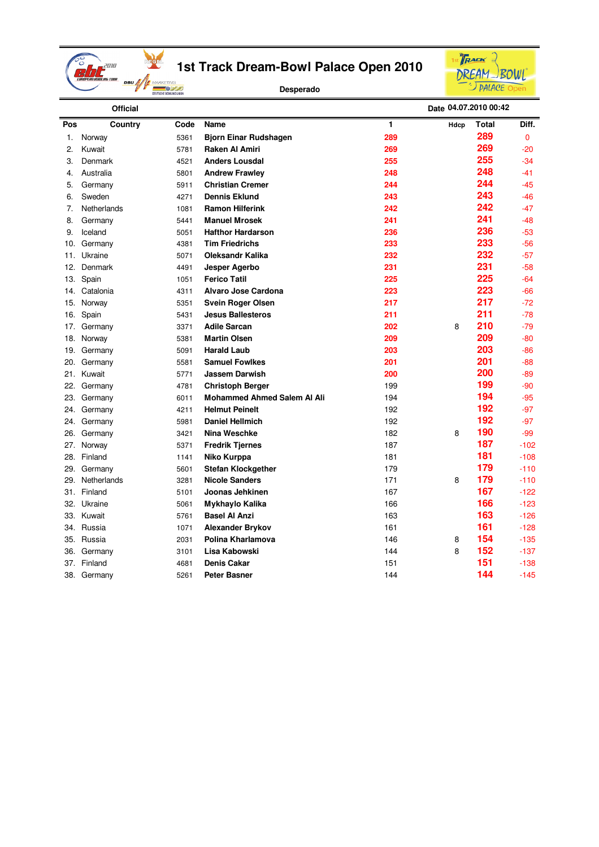

**Desperado**



|     | <b>Official</b> |      |                                    |     | Date 04.07.2010 00:42 |       |        |
|-----|-----------------|------|------------------------------------|-----|-----------------------|-------|--------|
| Pos | Country         | Code | <b>Name</b>                        | 1   | Hdcp                  | Total | Diff.  |
| 1.  | Norway          | 5361 | <b>Bjorn Einar Rudshagen</b>       | 289 |                       | 289   | 0      |
| 2.  | Kuwait          | 5781 | Raken Al Amiri                     | 269 |                       | 269   | $-20$  |
| 3.  | Denmark         | 4521 | <b>Anders Lousdal</b>              | 255 |                       | 255   | $-34$  |
| 4.  | Australia       | 5801 | <b>Andrew Frawley</b>              | 248 |                       | 248   | $-41$  |
| 5.  | Germany         | 5911 | <b>Christian Cremer</b>            | 244 |                       | 244   | $-45$  |
| 6.  | Sweden          | 4271 | <b>Dennis Eklund</b>               | 243 |                       | 243   | $-46$  |
| 7.  | Netherlands     | 1081 | <b>Ramon Hilferink</b>             | 242 |                       | 242   | $-47$  |
| 8.  | Germany         | 5441 | <b>Manuel Mrosek</b>               | 241 |                       | 241   | $-48$  |
| 9.  | Iceland         | 5051 | <b>Hafthor Hardarson</b>           | 236 |                       | 236   | $-53$  |
| 10. | Germany         | 4381 | <b>Tim Friedrichs</b>              | 233 |                       | 233   | $-56$  |
| 11. | Ukraine         | 5071 | <b>Oleksandr Kalika</b>            | 232 |                       | 232   | $-57$  |
| 12. | Denmark         | 4491 | <b>Jesper Agerbo</b>               | 231 |                       | 231   | $-58$  |
| 13. | Spain           | 1051 | <b>Ferico Tatil</b>                | 225 |                       | 225   | $-64$  |
| 14. | Catalonia       | 4311 | Alvaro Jose Cardona                | 223 |                       | 223   | $-66$  |
| 15. | Norway          | 5351 | <b>Svein Roger Olsen</b>           | 217 |                       | 217   | $-72$  |
| 16. | Spain           | 5431 | <b>Jesus Ballesteros</b>           | 211 |                       | 211   | $-78$  |
| 17. | Germany         | 3371 | <b>Adile Sarcan</b>                | 202 | 8                     | 210   | $-79$  |
| 18. | Norway          | 5381 | <b>Martin Olsen</b>                | 209 |                       | 209   | $-80$  |
| 19. | Germany         | 5091 | <b>Harald Laub</b>                 | 203 |                       | 203   | $-86$  |
| 20. | Germany         | 5581 | <b>Samuel Fowlkes</b>              | 201 |                       | 201   | $-88$  |
| 21. | Kuwait          | 5771 | Jassem Darwish                     | 200 |                       | 200   | $-89$  |
| 22. | Germany         | 4781 | <b>Christoph Berger</b>            | 199 |                       | 199   | $-90$  |
| 23. | Germany         | 6011 | <b>Mohammed Ahmed Salem Al Ali</b> | 194 |                       | 194   | $-95$  |
| 24. | Germany         | 4211 | <b>Helmut Peinelt</b>              | 192 |                       | 192   | $-97$  |
| 24. | Germany         | 5981 | <b>Daniel Hellmich</b>             | 192 |                       | 192   | -97    |
| 26. | Germany         | 3421 | Nina Weschke                       | 182 | 8                     | 190   | $-99$  |
| 27. | Norway          | 5371 | <b>Fredrik Tjernes</b>             | 187 |                       | 187   | $-102$ |
| 28. | Finland         | 1141 | Niko Kurppa                        | 181 |                       | 181   | $-108$ |
| 29. | Germany         | 5601 | <b>Stefan Klockgether</b>          | 179 |                       | 179   | $-110$ |
| 29. | Netherlands     | 3281 | <b>Nicole Sanders</b>              | 171 | 8                     | 179   | $-110$ |
| 31. | Finland         | 5101 | Joonas Jehkinen                    | 167 |                       | 167   | $-122$ |
| 32. | Ukraine         | 5061 | Mykhaylo Kalika                    | 166 |                       | 166   | $-123$ |
| 33. | Kuwait          | 5761 | <b>Basel Al Anzi</b>               | 163 |                       | 163   | $-126$ |
| 34. | Russia          | 1071 | <b>Alexander Brykov</b>            | 161 |                       | 161   | $-128$ |
| 35. | Russia          | 2031 | Polina Kharlamova                  | 146 | 8                     | 154   | $-135$ |
| 36. | Germany         | 3101 | Lisa Kabowski                      | 144 | 8                     | 152   | $-137$ |
| 37. | Finland         | 4681 | <b>Denis Cakar</b>                 | 151 |                       | 151   | $-138$ |
| 38. | Germany         | 5261 | <b>Peter Basner</b>                | 144 |                       | 144   | $-145$ |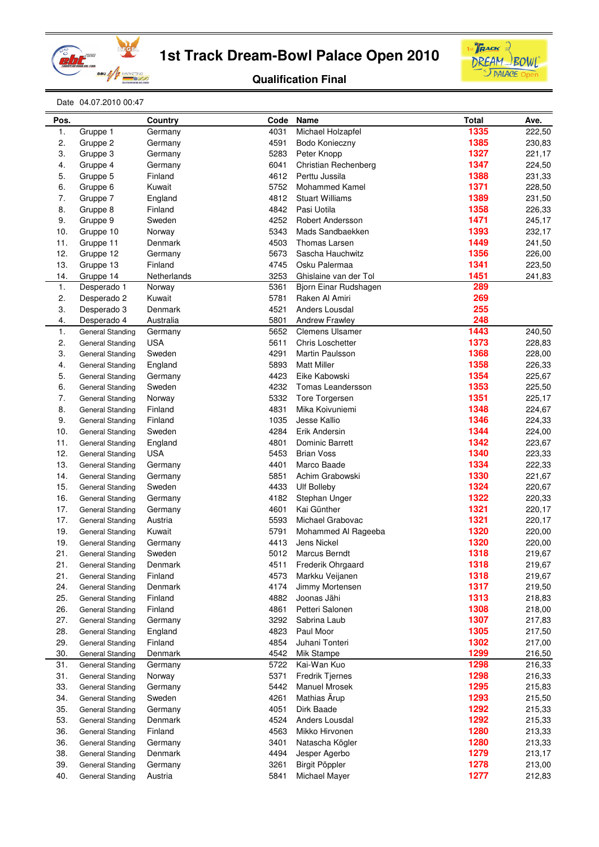



**Qualification Final**

Date 04.07.2010 00:47

| Pos.     |                                                    | Country           | Code | Name                     | <b>Total</b> | Ave.   |
|----------|----------------------------------------------------|-------------------|------|--------------------------|--------------|--------|
| 1.       | Gruppe 1                                           | Germany           | 4031 | Michael Holzapfel        | 1335         | 222,50 |
| 2.       | Gruppe 2                                           | Germany           | 4591 | Bodo Konieczny           | 1385         | 230,83 |
| 3.       | Gruppe 3                                           | Germany           | 5283 | Peter Knopp              | 1327         | 221,17 |
| 4.       | Gruppe 4                                           | Germany           | 6041 | Christian Rechenberg     | 1347         | 224,50 |
| 5.       | Gruppe 5                                           | Finland           | 4612 | Perttu Jussila           | 1388         | 231,33 |
| 6.       | Gruppe 6                                           | Kuwait            | 5752 | <b>Mohammed Kamel</b>    | 1371         | 228,50 |
| 7.       | Gruppe 7                                           | England           | 4812 | <b>Stuart Williams</b>   | 1389         | 231,50 |
| 8.       | Gruppe 8                                           | Finland           | 4842 | Pasi Uotila              | 1358         | 226,33 |
| 9.       | Gruppe 9                                           | Sweden            | 4252 | Robert Andersson         | 1471         | 245,17 |
| 10.      | Gruppe 10                                          | Norway            | 5343 | Mads Sandbaekken         | 1393         | 232,17 |
| 11.      | Gruppe 11                                          | Denmark           | 4503 | Thomas Larsen            | 1449         | 241,50 |
| 12.      | Gruppe 12                                          | Germany           | 5673 | Sascha Hauchwitz         | 1356         | 226,00 |
| 13.      | Gruppe 13                                          | Finland           | 4745 | Osku Palermaa            | 1341         | 223,50 |
| 14.      | Gruppe 14                                          | Netherlands       | 3253 | Ghislaine van der Tol    | 1451         | 241,83 |
| 1.       | Desperado 1                                        | Norway            | 5361 | Bjorn Einar Rudshagen    | 289          |        |
| 2.       | Desperado 2                                        | Kuwait            | 5781 | Raken Al Amiri           | 269          |        |
| 3.       | Desperado 3                                        | Denmark           | 4521 | Anders Lousdal           | 255          |        |
| 4.       | Desperado 4                                        | Australia         | 5801 | <b>Andrew Frawley</b>    | 248          |        |
| 1.       | General Standing                                   | Germany           | 5652 | <b>Clemens Ulsamer</b>   | 1443         | 240,50 |
| 2.       | <b>General Standing</b>                            | <b>USA</b>        | 5611 | <b>Chris Loschetter</b>  | 1373         | 228,83 |
| 3.       | <b>General Standing</b>                            | Sweden            | 4291 | Martin Paulsson          | 1368         | 228,00 |
| 4.       | General Standing                                   | England           | 5893 | <b>Matt Miller</b>       | 1358         | 226,33 |
| 5.       |                                                    |                   | 4423 | Eike Kabowski            | 1354         | 225,67 |
| 6.       | <b>General Standing</b><br><b>General Standing</b> | Germany<br>Sweden | 4232 | Tomas Leandersson        | 1353         | 225,50 |
|          |                                                    |                   | 5332 | Tore Torgersen           | 1351         |        |
| 7.<br>8. | <b>General Standing</b>                            | Norway            | 4831 | Mika Koivuniemi          | 1348         | 225,17 |
|          | <b>General Standing</b>                            | Finland           |      |                          |              | 224,67 |
| 9.       | <b>General Standing</b>                            | Finland           | 1035 | Jesse Kallio             | 1346<br>1344 | 224,33 |
| 10.      | <b>General Standing</b>                            | Sweden            | 4284 | Erik Andersin            |              | 224,00 |
| 11.      | General Standing                                   | England           | 4801 | Dominic Barrett          | 1342         | 223,67 |
| 12.      | <b>General Standing</b>                            | <b>USA</b>        | 5453 | <b>Brian Voss</b>        | 1340         | 223,33 |
| 13.      | <b>General Standing</b>                            | Germany           | 4401 | Marco Baade              | 1334         | 222,33 |
| 14.      | <b>General Standing</b>                            | Germany           | 5851 | Achim Grabowski          | 1330         | 221,67 |
| 15.      | General Standing                                   | Sweden            | 4433 | Ulf Bolleby              | 1324         | 220,67 |
| 16.      | <b>General Standing</b>                            | Germany           | 4182 | Stephan Unger            | 1322         | 220,33 |
| 17.      | <b>General Standing</b>                            | Germany           | 4601 | Kai Günther              | 1321         | 220,17 |
| 17.      | General Standing                                   | Austria           | 5593 | Michael Grabovac         | 1321         | 220,17 |
| 19.      | <b>General Standing</b>                            | Kuwait            | 5791 | Mohammed Al Rageeba      | 1320         | 220,00 |
| 19.      | <b>General Standing</b>                            | Germany           | 4413 | Jens Nickel              | 1320         | 220,00 |
| 21.      | General Standing                                   | Sweden            | 5012 | <b>Marcus Berndt</b>     | 1318         | 219,67 |
| 21.      | General Standing                                   | Denmark           | 4511 | <b>Frederik Ohrgaard</b> | 1318         | 219,67 |
| 21.      | <b>General Standing</b>                            | Finland           | 4573 | Markku Veijanen          | 1318         | 219,67 |
| 24.      | <b>General Standing</b>                            | Denmark           | 4174 | Jimmy Mortensen          | 1317         | 219,50 |
| 25.      | General Standing                                   | Finland           | 4882 | Joonas Jähi              | 1313         | 218,83 |
| 26.      | General Standing                                   | Finland           | 4861 | Petteri Salonen          | 1308         | 218,00 |
| 27.      | <b>General Standing</b>                            | Germany           | 3292 | Sabrina Laub             | 1307         | 217,83 |
| 28.      | General Standing                                   | England           | 4823 | Paul Moor                | 1305         | 217,50 |
| 29.      | General Standing                                   | Finland           | 4854 | Juhani Tonteri           | 1302         | 217,00 |
| 30.      | <b>General Standing</b>                            | Denmark           | 4542 | <b>Mik Stampe</b>        | 1299         | 216,50 |
| 31.      | <b>General Standing</b>                            | Germany           | 5722 | Kai-Wan Kuo              | 1298         | 216,33 |
| 31.      | <b>General Standing</b>                            | Norway            | 5371 | <b>Fredrik Tiernes</b>   | 1298         | 216,33 |
| 33.      | <b>General Standing</b>                            | Germany           | 5442 | <b>Manuel Mrosek</b>     | 1295         | 215,83 |
| 34.      | <b>General Standing</b>                            | Sweden            | 4261 | Mathias Ärup             | 1293         | 215,50 |
| 35.      | General Standing                                   | Germany           | 4051 | Dirk Baade               | 1292         | 215,33 |
| 53.      | <b>General Standing</b>                            | Denmark           | 4524 | Anders Lousdal           | 1292         | 215,33 |
| 36.      | <b>General Standing</b>                            | Finland           | 4563 | Mikko Hirvonen           | 1280         | 213,33 |
| 36.      | <b>General Standing</b>                            | Germany           | 3401 | Natascha Kögler          | 1280         | 213,33 |
| 38.      | <b>General Standing</b>                            | Denmark           | 4494 | Jesper Agerbo            | 1279         | 213,17 |
| 39.      | <b>General Standing</b>                            | Germany           | 3261 | Birgit Pöppler           | 1278         | 213,00 |
| 40.      | General Standing                                   | Austria           | 5841 | Michael Mayer            | 1277         | 212,83 |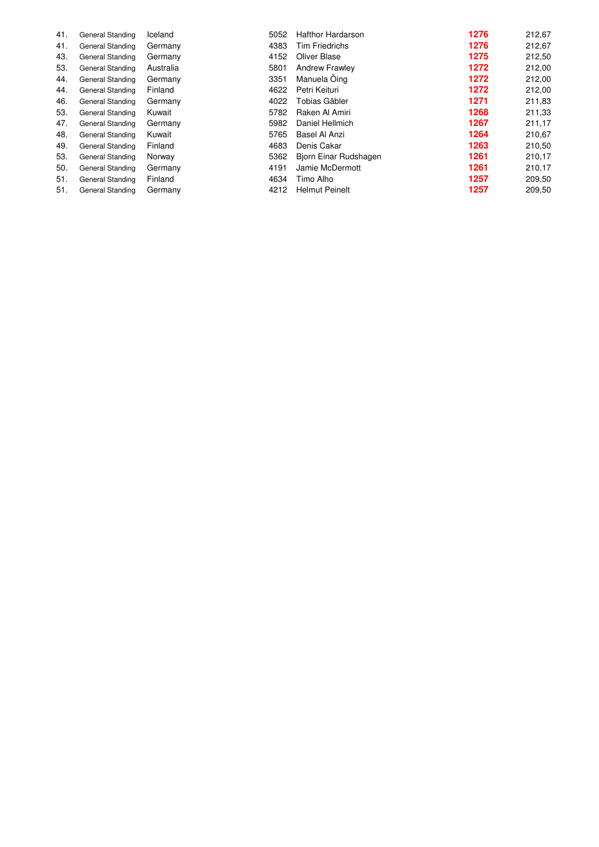| 41. | General Standing | Iceland   | 5052 | <b>Hafthor Hardarson</b> | 1276 | 212,67 |
|-----|------------------|-----------|------|--------------------------|------|--------|
| 41. | General Standing | Germany   | 4383 | <b>Tim Friedrichs</b>    | 1276 | 212,67 |
| 43. | General Standing | Germany   | 4152 | Oliver Blase             | 1275 | 212,50 |
| 53. | General Standing | Australia | 5801 | <b>Andrew Frawley</b>    | 1272 | 212,00 |
| 44. | General Standing | Germany   | 3351 | Manuela Oing             | 1272 | 212,00 |
| 44. | General Standing | Finland   | 4622 | Petri Keituri            | 1272 | 212,00 |
| 46. | General Standing | Germany   | 4022 | Tobias Gäbler            | 1271 | 211,83 |
| 53. | General Standing | Kuwait    | 5782 | Raken Al Amiri           | 1268 | 211,33 |
| 47. | General Standing | Germany   | 5982 | Daniel Hellmich          | 1267 | 211,17 |
| 48. | General Standing | Kuwait    | 5765 | Basel Al Anzi            | 1264 | 210,67 |
| 49. | General Standing | Finland   | 4683 | Denis Cakar              | 1263 | 210,50 |
| 53. | General Standing | Norway    | 5362 | Bjorn Einar Rudshagen    | 1261 | 210,17 |
| 50. | General Standing | Germany   | 4191 | Jamie McDermott          | 1261 | 210,17 |
| 51. | General Standing | Finland   | 4634 | Timo Alho                | 1257 | 209,50 |
| 51. | General Standing | Germany   | 4212 | <b>Helmut Peinelt</b>    | 1257 | 209,50 |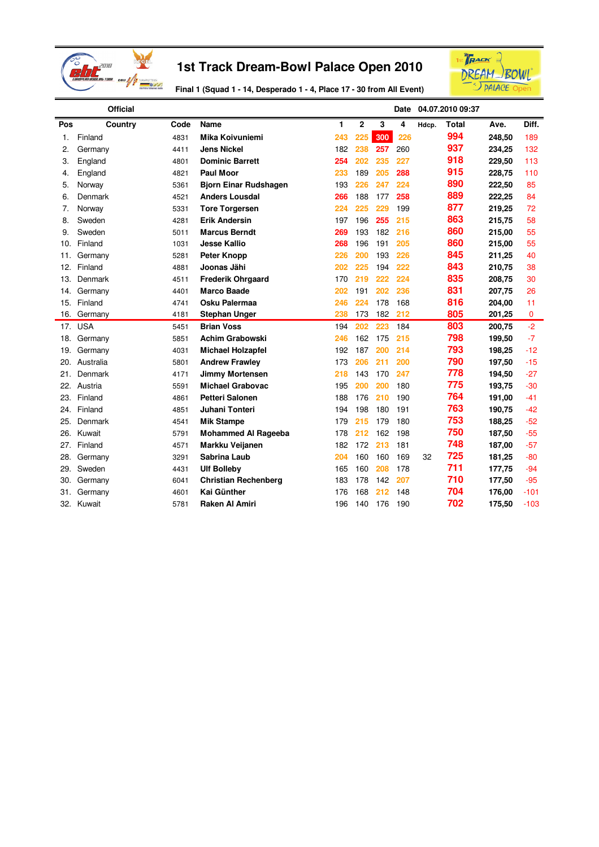



**Final 1 (Squad 1 - 14, Desperado 1 - 4, Place 17 - 30 from All Event)**

|     | <b>Official</b> |      |                              |     |              |     | Date |       | 04.07.2010 09:37 |        |        |
|-----|-----------------|------|------------------------------|-----|--------------|-----|------|-------|------------------|--------|--------|
| Pos | Country         | Code | Name                         | 1   | $\mathbf{2}$ | 3   | 4    | Hdcp. | Total            | Ave.   | Diff.  |
| 1.  | Finland         | 4831 | Mika Koivuniemi              | 243 | 225          | 300 | 226  |       | 994              | 248,50 | 189    |
| 2.  | Germany         | 4411 | <b>Jens Nickel</b>           | 182 | 238          | 257 | 260  |       | 937              | 234,25 | 132    |
| 3.  | England         | 4801 | <b>Dominic Barrett</b>       | 254 | 202          | 235 | 227  |       | 918              | 229,50 | 113    |
| 4.  | England         | 4821 | Paul Moor                    | 233 | 189          | 205 | 288  |       | 915              | 228,75 | 110    |
| 5.  | Norway          | 5361 | <b>Bjorn Einar Rudshagen</b> | 193 | 226          | 247 | 224  |       | 890              | 222,50 | 85     |
| 6.  | Denmark         | 4521 | <b>Anders Lousdal</b>        | 266 | 188          | 177 | 258  |       | 889              | 222,25 | 84     |
| 7.  | Norway          | 5331 | <b>Tore Torgersen</b>        | 224 | 225          | 229 | 199  |       | 877              | 219,25 | 72     |
| 8.  | Sweden          | 4281 | <b>Erik Andersin</b>         | 197 | 196          | 255 | 215  |       | 863              | 215,75 | 58     |
| 9.  | Sweden          | 5011 | <b>Marcus Berndt</b>         | 269 | 193          | 182 | 216  |       | 860              | 215,00 | 55     |
| 10. | Finland         | 1031 | <b>Jesse Kallio</b>          | 268 | 196          | 191 | 205  |       | 860              | 215,00 | 55     |
| 11. | Germany         | 5281 | <b>Peter Knopp</b>           | 226 | 200          | 193 | 226  |       | 845              | 211,25 | 40     |
| 12. | Finland         | 4881 | Joonas Jähi                  | 202 | 225          | 194 | 222  |       | 843              | 210,75 | 38     |
| 13. | Denmark         | 4511 | <b>Frederik Ohrgaard</b>     | 170 | 219          | 222 | 224  |       | 835              | 208,75 | 30     |
| 14. | Germany         | 4401 | <b>Marco Baade</b>           | 202 | 191          | 202 | 236  |       | 831              | 207,75 | 26     |
| 15. | Finland         | 4741 | Osku Palermaa                | 246 | 224          | 178 | 168  |       | 816              | 204,00 | 11     |
| 16. | Germany         | 4181 | <b>Stephan Unger</b>         | 238 | 173          | 182 | 212  |       | 805              | 201,25 | 0      |
| 17. | <b>USA</b>      | 5451 | <b>Brian Voss</b>            | 194 | 202          | 223 | 184  |       | 803              | 200,75 | $-2$   |
| 18. | Germany         | 5851 | <b>Achim Grabowski</b>       | 246 | 162          | 175 | 215  |       | 798              | 199,50 | $-7$   |
| 19. | Germany         | 4031 | <b>Michael Holzapfel</b>     | 192 | 187          | 200 | 214  |       | 793              | 198,25 | $-12$  |
| 20. | Australia       | 5801 | <b>Andrew Frawley</b>        | 173 | 206          | 211 | 200  |       | 790              | 197,50 | $-15$  |
| 21. | Denmark         | 4171 | <b>Jimmy Mortensen</b>       | 218 | 143          | 170 | 247  |       | 778              | 194,50 | $-27$  |
| 22. | Austria         | 5591 | Michael Grabovac             | 195 | 200          | 200 | 180  |       | 775              | 193,75 | $-30$  |
| 23. | Finland         | 4861 | <b>Petteri Salonen</b>       | 188 | 176          | 210 | 190  |       | 764              | 191,00 | $-41$  |
| 24. | Finland         | 4851 | Juhani Tonteri               | 194 | 198          | 180 | 191  |       | 763              | 190,75 | $-42$  |
| 25. | Denmark         | 4541 | <b>Mik Stampe</b>            | 179 | 215          | 179 | 180  |       | 753              | 188,25 | $-52$  |
| 26. | Kuwait          | 5791 | <b>Mohammed Al Rageeba</b>   | 178 | 212          | 162 | 198  |       | 750              | 187,50 | $-55$  |
| 27. | Finland         | 4571 | Markku Veijanen              | 182 | 172          | 213 | 181  |       | 748              | 187,00 | $-57$  |
| 28. | Germany         | 3291 | <b>Sabrina Laub</b>          | 204 | 160          | 160 | 169  | 32    | 725              | 181,25 | $-80$  |
| 29. | Sweden          | 4431 | <b>Ulf Bolleby</b>           | 165 | 160          | 208 | 178  |       | 711              | 177,75 | $-94$  |
| 30. | Germany         | 6041 | <b>Christian Rechenberg</b>  | 183 | 178          | 142 | 207  |       | 710              | 177,50 | $-95$  |
| 31. | Germany         | 4601 | Kai Günther                  | 176 | 168          | 212 | 148  |       | 704              | 176,00 | $-101$ |
| 32. | Kuwait          | 5781 | Raken Al Amiri               | 196 | 140          | 176 | 190  |       | 702              | 175,50 | $-103$ |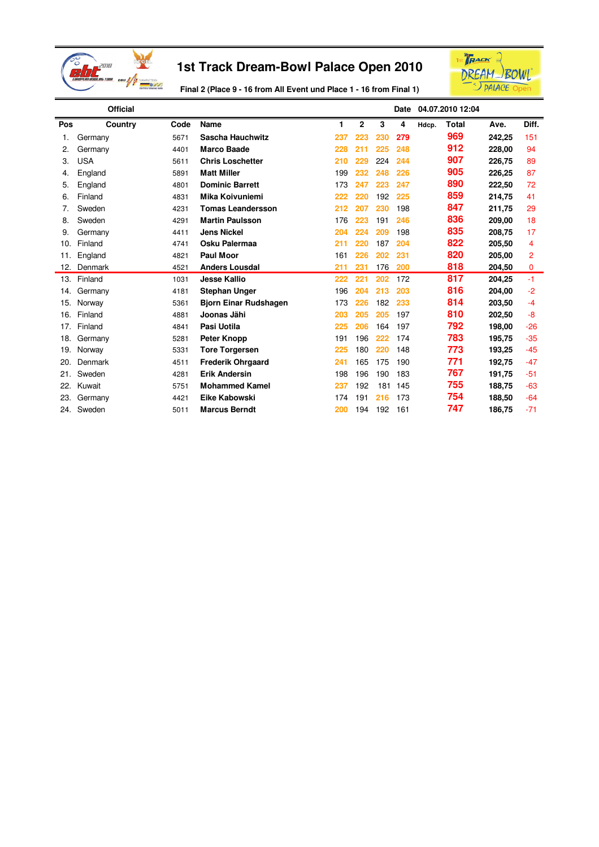



**Final 2 (Place 9 - 16 from All Event und Place 1 - 16 from Final 1)**

|     | <b>Official</b> |      |                              |     |              |     | Date |       | 04.07.2010 12:04 |        |                |
|-----|-----------------|------|------------------------------|-----|--------------|-----|------|-------|------------------|--------|----------------|
| Pos | Country         | Code | <b>Name</b>                  | 1   | $\mathbf{2}$ | 3   | 4    | Hdcp. | <b>Total</b>     | Ave.   | Diff.          |
| 1.  | Germany         | 5671 | <b>Sascha Hauchwitz</b>      | 237 | 223          | 230 | 279  |       | 969              | 242.25 | 151            |
| 2.  | Germany         | 4401 | <b>Marco Baade</b>           | 228 | 211          | 225 | 248  |       | 912              | 228,00 | 94             |
| 3.  | <b>USA</b>      | 5611 | <b>Chris Loschetter</b>      | 210 | 229          | 224 | 244  |       | 907              | 226,75 | 89             |
| 4.  | England         | 5891 | <b>Matt Miller</b>           | 199 | 232          | 248 | 226  |       | 905              | 226,25 | 87             |
| 5.  | England         | 4801 | <b>Dominic Barrett</b>       | 173 | 247          | 223 | 247  |       | 890              | 222,50 | 72             |
| 6.  | Finland         | 4831 | <b>Mika Koivuniemi</b>       | 222 | 220          | 192 | 225  |       | 859              | 214,75 | 41             |
| 7.  | Sweden          | 4231 | <b>Tomas Leandersson</b>     | 212 | 207          | 230 | 198  |       | 847              | 211,75 | 29             |
| 8.  | Sweden          | 4291 | <b>Martin Paulsson</b>       | 176 | 223          | 191 | 246  |       | 836              | 209,00 | 18             |
| 9.  | Germany         | 4411 | <b>Jens Nickel</b>           | 204 | 224          | 209 | 198  |       | 835              | 208,75 | 17             |
| 10. | Finland         | 4741 | Osku Palermaa                | 211 | 220          | 187 | 204  |       | 822              | 205,50 | 4              |
| 11. | England         | 4821 | Paul Moor                    | 161 | 226          | 202 | 231  |       | 820              | 205,00 | $\overline{2}$ |
| 12. | Denmark         | 4521 | <b>Anders Lousdal</b>        | 211 | 231          | 176 | 200  |       | 818              | 204,50 | 0              |
| 13. | Finland         | 1031 | <b>Jesse Kallio</b>          | 222 | 221          | 202 | 172  |       | 817              | 204,25 | $-1$           |
| 14. | Germany         | 4181 | <b>Stephan Unger</b>         | 196 | 204          | 213 | 203  |       | 816              | 204,00 | $-2$           |
| 15. | Norway          | 5361 | <b>Bjorn Einar Rudshagen</b> | 173 | 226          | 182 | 233  |       | 814              | 203,50 | $-4$           |
| 16. | Finland         | 4881 | Joonas Jähi                  | 203 | 205          | 205 | 197  |       | 810              | 202,50 | -8             |
| 17. | Finland         | 4841 | Pasi Uotila                  | 225 | 206          | 164 | 197  |       | 792              | 198,00 | $-26$          |
| 18. | Germany         | 5281 | <b>Peter Knopp</b>           | 191 | 196          | 222 | 174  |       | 783              | 195,75 | $-35$          |
| 19. | Norway          | 5331 | <b>Tore Torgersen</b>        | 225 | 180          | 220 | 148  |       | 773              | 193,25 | $-45$          |
| 20. | Denmark         | 4511 | <b>Frederik Ohrgaard</b>     | 241 | 165          | 175 | 190  |       | 771              | 192,75 | $-47$          |
| 21. | Sweden          | 4281 | <b>Erik Andersin</b>         | 198 | 196          | 190 | 183  |       | 767              | 191,75 | $-51$          |
| 22. | Kuwait          | 5751 | <b>Mohammed Kamel</b>        | 237 | 192          | 181 | 145  |       | 755              | 188,75 | $-63$          |
| 23. | Germany         | 4421 | Eike Kabowski                | 174 | 191          | 216 | 173  |       | 754              | 188,50 | $-64$          |
| 24. | Sweden          | 5011 | <b>Marcus Berndt</b>         | 200 | 194          | 192 | 161  |       | 747              | 186,75 | $-71$          |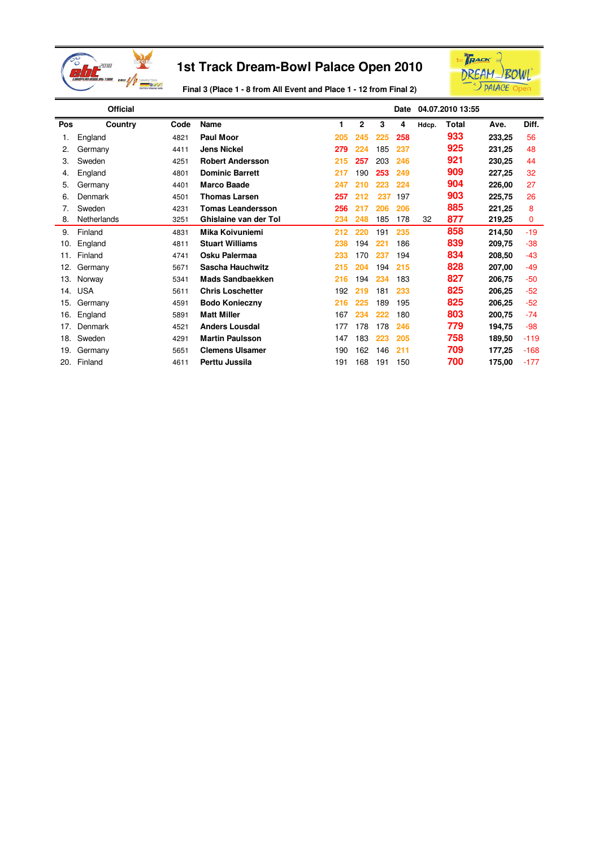



**Final 3 (Place 1 - 8 from All Event and Place 1 - 12 from Final 2)**

| <b>Official</b> |             |      |                          |     | Date           |     | 04.07.2010 13:55 |       |       |        |        |
|-----------------|-------------|------|--------------------------|-----|----------------|-----|------------------|-------|-------|--------|--------|
| Pos             | Country     | Code | <b>Name</b>              | 1   | $\overline{2}$ | 3   | 4                | Hdcp. | Total | Ave.   | Diff.  |
| 1.              | England     | 4821 | Paul Moor                | 205 | 245            | 225 | 258              |       | 933   | 233,25 | 56     |
| 2.              | Germany     | 4411 | <b>Jens Nickel</b>       | 279 | 224            | 185 | 237              |       | 925   | 231,25 | 48     |
| 3.              | Sweden      | 4251 | <b>Robert Andersson</b>  | 215 | 257            | 203 | 246              |       | 921   | 230,25 | 44     |
| 4.              | England     | 4801 | <b>Dominic Barrett</b>   | 217 | 190            | 253 | 249              |       | 909   | 227,25 | 32     |
| 5.              | Germany     | 4401 | <b>Marco Baade</b>       | 247 | 210            | 223 | 224              |       | 904   | 226,00 | 27     |
| 6.              | Denmark     | 4501 | <b>Thomas Larsen</b>     | 257 | 212            | 237 | 197              |       | 903   | 225,75 | 26     |
| 7.              | Sweden      | 4231 | <b>Tomas Leandersson</b> | 256 | 217            | 206 | 206              |       | 885   | 221,25 | 8      |
| 8.              | Netherlands | 3251 | Ghislaine van der Tol    | 234 | 248            | 185 | 178              | 32    | 877   | 219,25 | 0      |
| 9.              | Finland     | 4831 | Mika Koivuniemi          | 212 | 220            | 191 | 235              |       | 858   | 214,50 | $-19$  |
| 10.             | England     | 4811 | <b>Stuart Williams</b>   | 238 | 194            | 221 | 186              |       | 839   | 209,75 | $-38$  |
| 11.             | Finland     | 4741 | Osku Palermaa            | 233 | 170            | 237 | 194              |       | 834   | 208,50 | $-43$  |
| 12.             | Germany     | 5671 | Sascha Hauchwitz         | 215 | 204            | 194 | 215              |       | 828   | 207,00 | -49    |
| 13.             | Norway      | 5341 | <b>Mads Sandbaekken</b>  | 216 | 194            | 234 | 183              |       | 827   | 206,75 | $-50$  |
| 14.             | <b>USA</b>  | 5611 | <b>Chris Loschetter</b>  | 192 | 219            | 181 | 233              |       | 825   | 206,25 | $-52$  |
| 15.             | Germany     | 4591 | <b>Bodo Konieczny</b>    | 216 | 225            | 189 | 195              |       | 825   | 206,25 | $-52$  |
| 16.             | England     | 5891 | <b>Matt Miller</b>       | 167 | 234            | 222 | 180              |       | 803   | 200,75 | $-74$  |
| 17.             | Denmark     | 4521 | <b>Anders Lousdal</b>    | 177 | 178            | 178 | 246              |       | 779   | 194,75 | -98    |
| 18.             | Sweden      | 4291 | <b>Martin Paulsson</b>   | 147 | 183            | 223 | 205              |       | 758   | 189,50 | $-119$ |
| 19.             | Germany     | 5651 | <b>Clemens Ulsamer</b>   | 190 | 162            | 146 | 211              |       | 709   | 177,25 | $-168$ |
| 20.             | Finland     | 4611 | Perttu Jussila           | 191 | 168            | 191 | 150              |       | 700   | 175,00 | $-177$ |